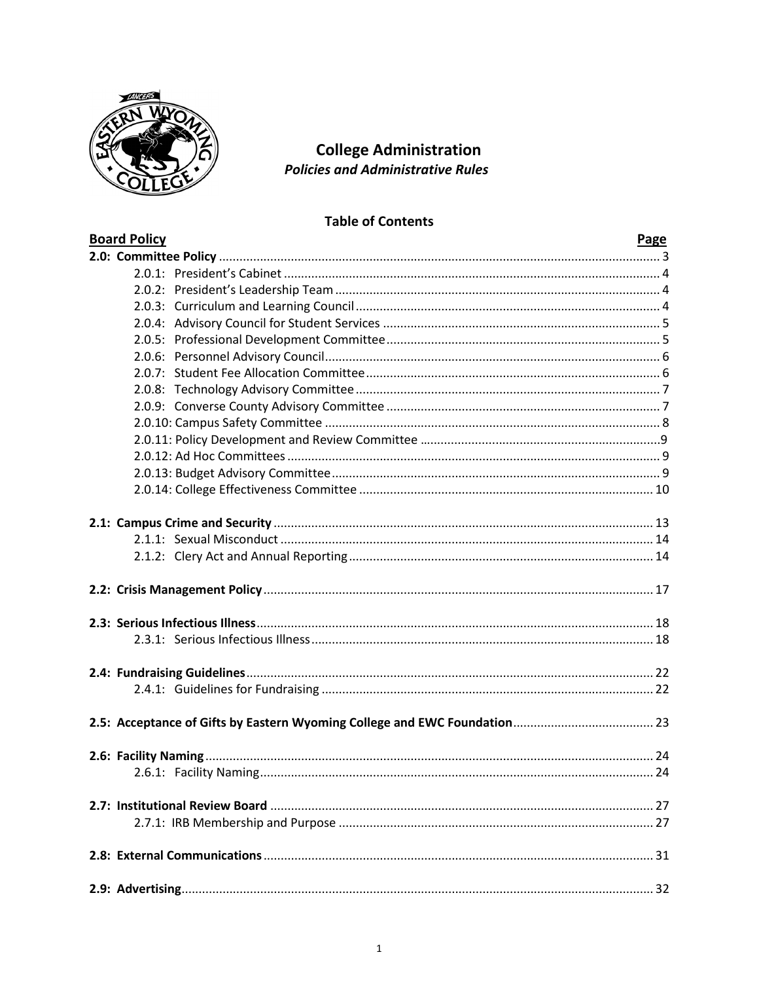

# **College Administration Policies and Administrative Rules**

# **Table of Contents**

| <b>Board Policy</b> | <b>Page</b> |
|---------------------|-------------|
|                     |             |
|                     |             |
|                     |             |
|                     |             |
|                     |             |
|                     |             |
|                     |             |
|                     |             |
|                     |             |
|                     |             |
|                     |             |
|                     |             |
|                     |             |
|                     |             |
|                     |             |
|                     |             |
|                     |             |
|                     |             |
|                     |             |
|                     |             |
|                     |             |
|                     |             |
|                     |             |
|                     |             |
|                     |             |
|                     |             |
|                     |             |
|                     |             |
|                     |             |
|                     |             |
|                     |             |
|                     |             |
|                     |             |
|                     |             |
|                     |             |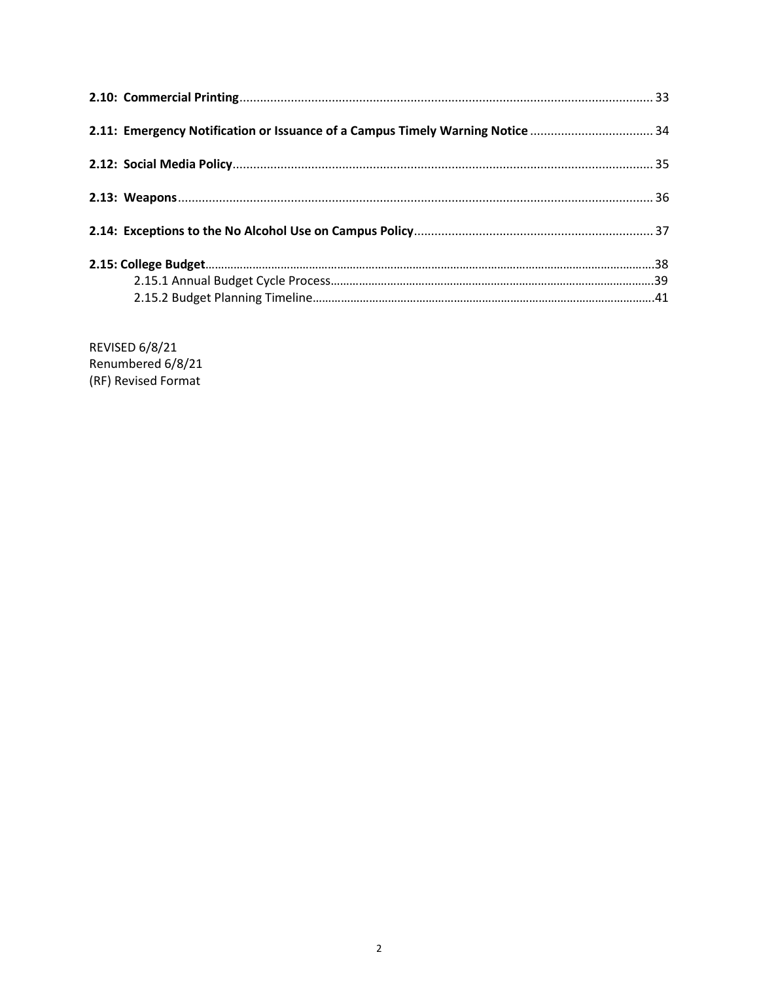| 2.11: Emergency Notification or Issuance of a Campus Timely Warning Notice  34 |  |
|--------------------------------------------------------------------------------|--|
|                                                                                |  |
|                                                                                |  |
|                                                                                |  |
|                                                                                |  |
|                                                                                |  |

REVISED 6/8/21 Renumbered 6/8/21 (RF) Revised Format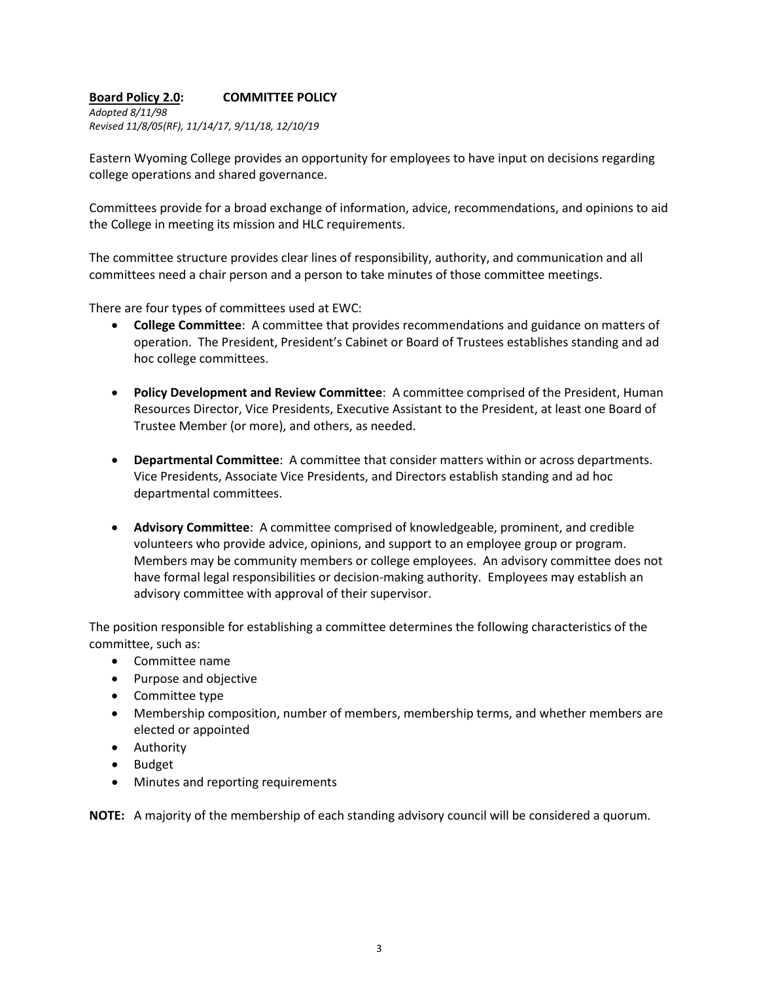### **Board Policy 2.0: COMMITTEE POLICY**

*Adopted 8/11/98 Revised 11/8/05(RF), 11/14/17, 9/11/18, 12/10/19*

Eastern Wyoming College provides an opportunity for employees to have input on decisions regarding college operations and shared governance.

Committees provide for a broad exchange of information, advice, recommendations, and opinions to aid the College in meeting its mission and HLC requirements.

The committee structure provides clear lines of responsibility, authority, and communication and all committees need a chair person and a person to take minutes of those committee meetings.

There are four types of committees used at EWC:

- **College Committee**: A committee that provides recommendations and guidance on matters of operation. The President, President's Cabinet or Board of Trustees establishes standing and ad hoc college committees.
- **Policy Development and Review Committee**: A committee comprised of the President, Human Resources Director, Vice Presidents, Executive Assistant to the President, at least one Board of Trustee Member (or more), and others, as needed.
- **Departmental Committee**: A committee that consider matters within or across departments. Vice Presidents, Associate Vice Presidents, and Directors establish standing and ad hoc departmental committees.
- **Advisory Committee**: A committee comprised of knowledgeable, prominent, and credible volunteers who provide advice, opinions, and support to an employee group or program. Members may be community members or college employees. An advisory committee does not have formal legal responsibilities or decision-making authority. Employees may establish an advisory committee with approval of their supervisor.

The position responsible for establishing a committee determines the following characteristics of the committee, such as:

- Committee name
- Purpose and objective
- Committee type
- Membership composition, number of members, membership terms, and whether members are elected or appointed
- Authority
- Budget
- Minutes and reporting requirements

**NOTE:** A majority of the membership of each standing advisory council will be considered a quorum.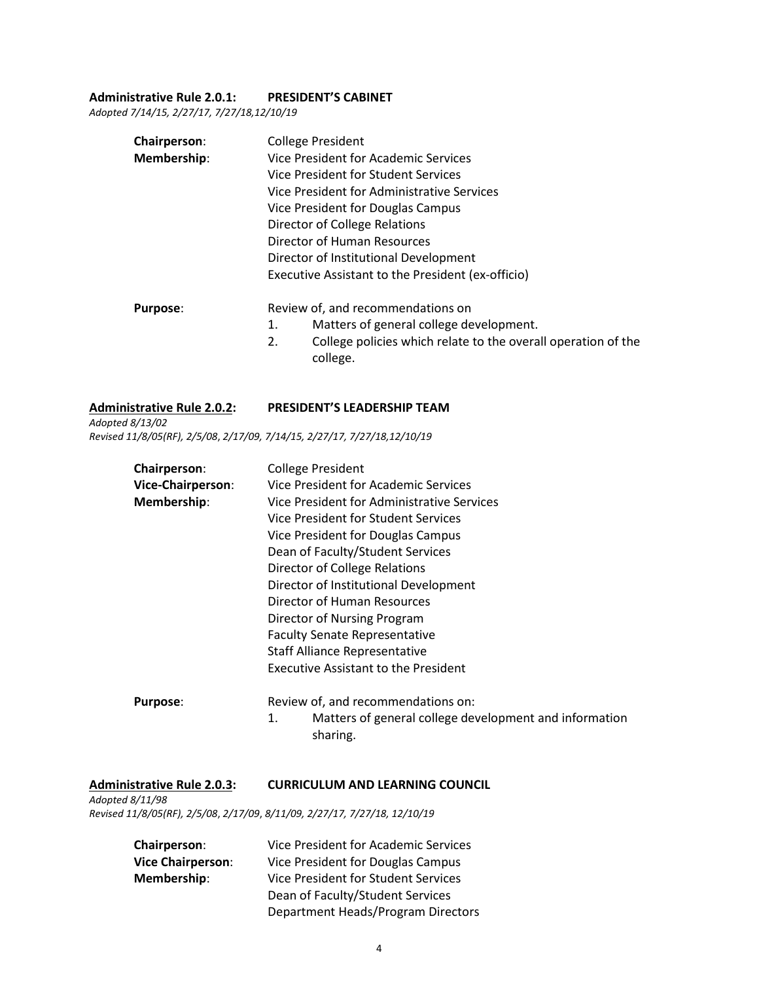#### **Administrative Rule 2.0.1: PRESIDENT'S CABINET**

*Adopted 7/14/15, 2/27/17, 7/27/18,12/10/19*

| <b>Chairperson:</b> | <b>College President</b>                                                        |  |  |
|---------------------|---------------------------------------------------------------------------------|--|--|
| Membership:         | Vice President for Academic Services<br>Vice President for Student Services     |  |  |
|                     |                                                                                 |  |  |
|                     | Vice President for Administrative Services                                      |  |  |
|                     | Vice President for Douglas Campus                                               |  |  |
|                     | Director of College Relations                                                   |  |  |
|                     | Director of Human Resources                                                     |  |  |
|                     | Director of Institutional Development                                           |  |  |
|                     | Executive Assistant to the President (ex-officio)                               |  |  |
| <b>Purpose:</b>     | Review of, and recommendations on                                               |  |  |
|                     | Matters of general college development.<br>1.                                   |  |  |
|                     | 2.<br>College policies which relate to the overall operation of the<br>college. |  |  |

#### **Administrative Rule 2.0.2: PRESIDENT'S LEADERSHIP TEAM**

*Adopted 8/13/02*

# *Revised 11/8/05(RF), 2/5/08*, *2/17/09, 7/14/15, 2/27/17, 7/27/18,12/10/19*

| <b>Chairperson:</b>      | <b>College President</b><br>Vice President for Academic Services                  |  |  |  |
|--------------------------|-----------------------------------------------------------------------------------|--|--|--|
| <b>Vice-Chairperson:</b> |                                                                                   |  |  |  |
| Membership:              | Vice President for Administrative Services<br>Vice President for Student Services |  |  |  |
|                          |                                                                                   |  |  |  |
|                          | Vice President for Douglas Campus                                                 |  |  |  |
|                          | Dean of Faculty/Student Services                                                  |  |  |  |
|                          | Director of College Relations                                                     |  |  |  |
|                          | Director of Institutional Development                                             |  |  |  |
|                          | Director of Human Resources                                                       |  |  |  |
|                          | Director of Nursing Program                                                       |  |  |  |
|                          | <b>Faculty Senate Representative</b>                                              |  |  |  |
|                          | <b>Staff Alliance Representative</b>                                              |  |  |  |
|                          | <b>Executive Assistant to the President</b>                                       |  |  |  |
| <b>Purpose:</b>          | Review of, and recommendations on:                                                |  |  |  |
|                          | Matters of general college development and information                            |  |  |  |

sharing.

### **Administrative Rule 2.0.3: CURRICULUM AND LEARNING COUNCIL**

*Adopted 8/11/98 Revised 11/8/05(RF), 2/5/08*, *2/17/09*, *8/11/09, 2/27/17, 7/27/18, 12/10/19*

| <b>Chairperson:</b>      | Vice President for Academic Services |
|--------------------------|--------------------------------------|
| <b>Vice Chairperson:</b> | Vice President for Douglas Campus    |
| Membership:              | Vice President for Student Services  |
|                          | Dean of Faculty/Student Services     |
|                          | Department Heads/Program Directors   |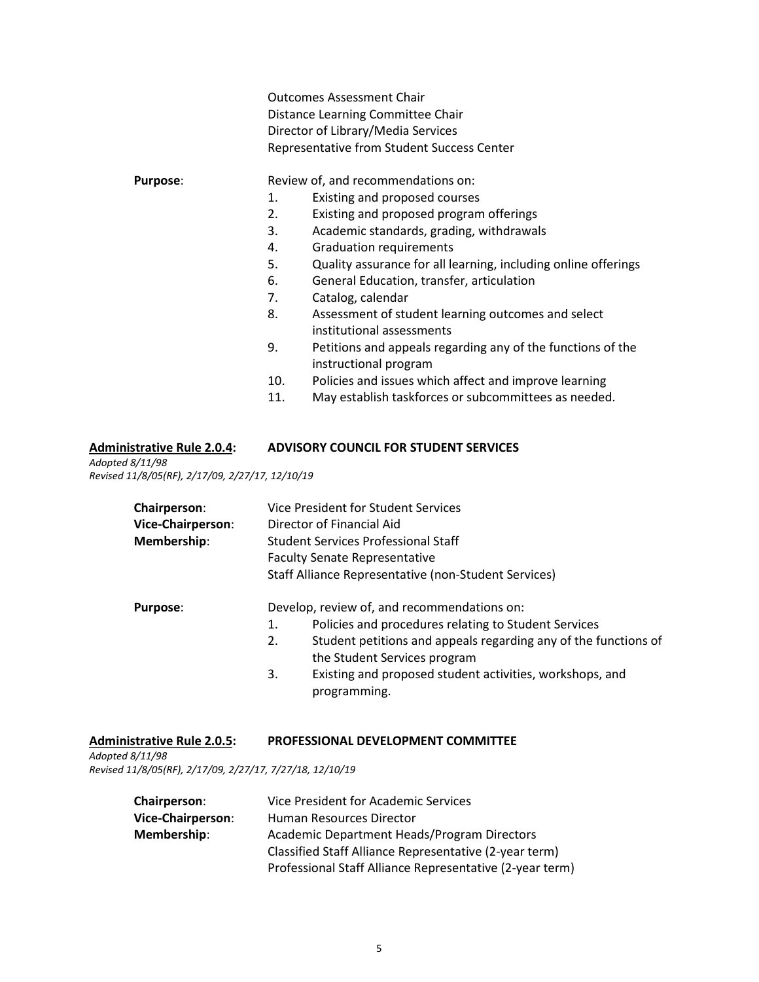|                 |                                   | <b>Outcomes Assessment Chair</b>                                                     |  |
|-----------------|-----------------------------------|--------------------------------------------------------------------------------------|--|
|                 | Distance Learning Committee Chair |                                                                                      |  |
|                 |                                   | Director of Library/Media Services                                                   |  |
|                 |                                   | Representative from Student Success Center                                           |  |
| <b>Purpose:</b> |                                   | Review of, and recommendations on:                                                   |  |
|                 | 1.                                | Existing and proposed courses                                                        |  |
|                 | 2.                                | Existing and proposed program offerings                                              |  |
|                 | 3.                                | Academic standards, grading, withdrawals                                             |  |
|                 | 4.                                | <b>Graduation requirements</b>                                                       |  |
|                 | 5.                                | Quality assurance for all learning, including online offerings                       |  |
|                 | 6.                                | General Education, transfer, articulation                                            |  |
|                 | 7.                                | Catalog, calendar                                                                    |  |
|                 | 8.                                | Assessment of student learning outcomes and select<br>institutional assessments      |  |
|                 | 9.                                | Petitions and appeals regarding any of the functions of the<br>instructional program |  |
|                 | 10.                               | Policies and issues which affect and improve learning                                |  |
|                 | 11.                               | May establish taskforces or subcommittees as needed.                                 |  |
|                 |                                   |                                                                                      |  |
|                 |                                   |                                                                                      |  |

# **Administrative Rule 2.0.4: ADVISORY COUNCIL FOR STUDENT SERVICES**

*Adopted 8/11/98 Revised 11/8/05(RF), 2/17/09, 2/27/17, 12/10/19*

| Chairperson:<br>Vice-Chairperson:<br>Membership: | Vice President for Student Services<br>Director of Financial Aid<br><b>Student Services Professional Staff</b><br><b>Faculty Senate Representative</b> |                                                                          |  |
|--------------------------------------------------|--------------------------------------------------------------------------------------------------------------------------------------------------------|--------------------------------------------------------------------------|--|
|                                                  | Staff Alliance Representative (non-Student Services)                                                                                                   |                                                                          |  |
| <b>Purpose:</b>                                  |                                                                                                                                                        | Develop, review of, and recommendations on:                              |  |
|                                                  | 1.                                                                                                                                                     | Policies and procedures relating to Student Services                     |  |
|                                                  | 2.                                                                                                                                                     | Student petitions and appeals regarding any of the functions of          |  |
|                                                  |                                                                                                                                                        | the Student Services program                                             |  |
|                                                  | 3.                                                                                                                                                     | Existing and proposed student activities, workshops, and<br>programming. |  |

### **Administrative Rule 2.0.5: PROFESSIONAL DEVELOPMENT COMMITTEE**

*Adopted 8/11/98 Revised 11/8/05(RF), 2/17/09, 2/27/17, 7/27/18, 12/10/19*

| Vice President for Academic Services                     |
|----------------------------------------------------------|
| Human Resources Director                                 |
| Academic Department Heads/Program Directors              |
| Classified Staff Alliance Representative (2-year term)   |
| Professional Staff Alliance Representative (2-year term) |
|                                                          |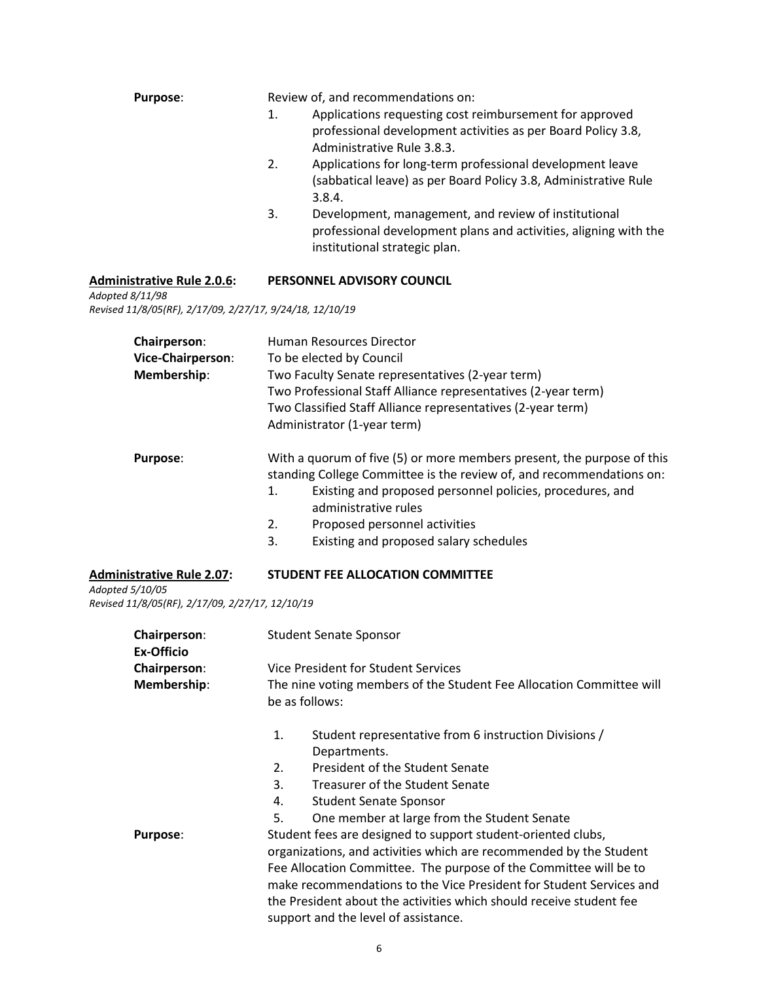| <b>Purpose:</b> | Review of, and recommendations on:                                                                                                                              |
|-----------------|-----------------------------------------------------------------------------------------------------------------------------------------------------------------|
|                 | Applications requesting cost reimbursement for approved<br>1.<br>professional development activities as per Board Policy 3.8,<br>Administrative Rule 3.8.3.     |
|                 | Applications for long-term professional development leave<br>2.<br>(sabbatical leave) as per Board Policy 3.8, Administrative Rule<br>3.8.4.                    |
|                 | Development, management, and review of institutional<br>3.<br>professional development plans and activities, aligning with the<br>institutional strategic plan. |

# **Administrative Rule 2.0.6: PERSONNEL ADVISORY COUNCIL**

*Adopted 8/11/98 Revised 11/8/05(RF), 2/17/09, 2/27/17, 9/24/18, 12/10/19*

| Chairperson:<br>Vice-Chairperson:<br>Membership: | Human Resources Director<br>To be elected by Council<br>Two Faculty Senate representatives (2-year term)<br>Two Professional Staff Alliance representatives (2-year term)<br>Two Classified Staff Alliance representatives (2-year term)<br>Administrator (1-year term)                                                          |
|--------------------------------------------------|----------------------------------------------------------------------------------------------------------------------------------------------------------------------------------------------------------------------------------------------------------------------------------------------------------------------------------|
| <b>Purpose:</b>                                  | With a quorum of five (5) or more members present, the purpose of this<br>standing College Committee is the review of, and recommendations on:<br>Existing and proposed personnel policies, procedures, and<br>1.<br>administrative rules<br>Proposed personnel activities<br>2.<br>3.<br>Existing and proposed salary schedules |
| <b>Administrative Rule 2.07:</b>                 | <b>STUDENT FEE ALLOCATION COMMITTEE</b>                                                                                                                                                                                                                                                                                          |

*Adopted 5/10/05 Revised 11/8/05(RF), 2/17/09, 2/27/17, 12/10/19*

| Chairperson:<br>Ex-Officio | <b>Student Senate Sponsor</b>                                                          |                                                                     |  |
|----------------------------|----------------------------------------------------------------------------------------|---------------------------------------------------------------------|--|
| <b>Chairperson:</b>        | Vice President for Student Services                                                    |                                                                     |  |
| Membership:                | The nine voting members of the Student Fee Allocation Committee will<br>be as follows: |                                                                     |  |
|                            |                                                                                        |                                                                     |  |
|                            | 1.                                                                                     | Student representative from 6 instruction Divisions /               |  |
|                            |                                                                                        | Departments.                                                        |  |
|                            | 2.                                                                                     | President of the Student Senate                                     |  |
|                            | 3.                                                                                     | Treasurer of the Student Senate                                     |  |
|                            | 4.                                                                                     | <b>Student Senate Sponsor</b>                                       |  |
|                            | 5.                                                                                     | One member at large from the Student Senate                         |  |
| <b>Purpose:</b>            |                                                                                        | Student fees are designed to support student-oriented clubs,        |  |
|                            | organizations, and activities which are recommended by the Student                     |                                                                     |  |
|                            |                                                                                        | Fee Allocation Committee. The purpose of the Committee will be to   |  |
|                            |                                                                                        | make recommendations to the Vice President for Student Services and |  |
|                            |                                                                                        | the President about the activities which should receive student fee |  |
|                            |                                                                                        | support and the level of assistance.                                |  |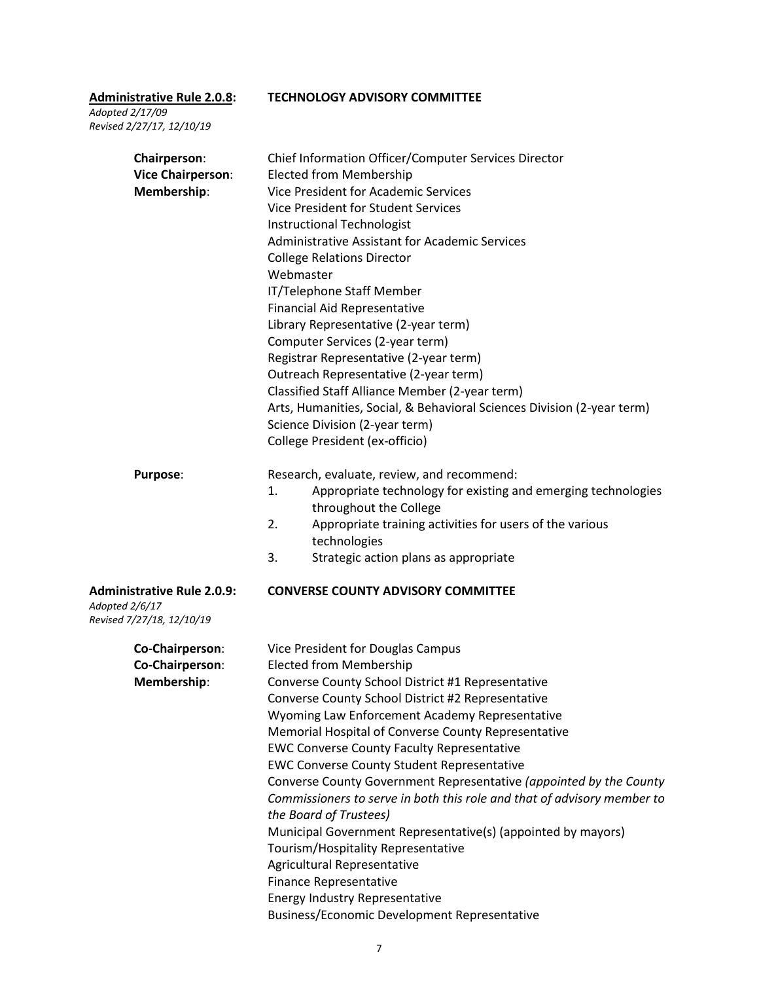**Administrative Rule 2.0.8: TECHNOLOGY ADVISORY COMMITTEE**

*Adopted 2/17/09 Revised 2/27/17, 12/10/19*

| Chairperson:<br><b>Vice Chairperson:</b><br>Membership:                          | Chief Information Officer/Computer Services Director<br><b>Elected from Membership</b><br><b>Vice President for Academic Services</b><br><b>Vice President for Student Services</b><br><b>Instructional Technologist</b><br><b>Administrative Assistant for Academic Services</b><br><b>College Relations Director</b><br>Webmaster<br>IT/Telephone Staff Member<br><b>Financial Aid Representative</b><br>Library Representative (2-year term)<br>Computer Services (2-year term)<br>Registrar Representative (2-year term)<br>Outreach Representative (2-year term)<br>Classified Staff Alliance Member (2-year term)<br>Arts, Humanities, Social, & Behavioral Sciences Division (2-year term)<br>Science Division (2-year term)<br>College President (ex-officio)                                                                      |
|----------------------------------------------------------------------------------|--------------------------------------------------------------------------------------------------------------------------------------------------------------------------------------------------------------------------------------------------------------------------------------------------------------------------------------------------------------------------------------------------------------------------------------------------------------------------------------------------------------------------------------------------------------------------------------------------------------------------------------------------------------------------------------------------------------------------------------------------------------------------------------------------------------------------------------------|
| Purpose:                                                                         | Research, evaluate, review, and recommend:<br>Appropriate technology for existing and emerging technologies<br>1.<br>throughout the College<br>2.<br>Appropriate training activities for users of the various<br>technologies<br>3.<br>Strategic action plans as appropriate                                                                                                                                                                                                                                                                                                                                                                                                                                                                                                                                                               |
| <b>Administrative Rule 2.0.9:</b><br>Adopted 2/6/17<br>Revised 7/27/18, 12/10/19 | <b>CONVERSE COUNTY ADVISORY COMMITTEE</b>                                                                                                                                                                                                                                                                                                                                                                                                                                                                                                                                                                                                                                                                                                                                                                                                  |
| Co-Chairperson:<br>Co-Chairperson:<br>Membership:                                | Vice President for Douglas Campus<br><b>Elected from Membership</b><br>Converse County School District #1 Representative<br>Converse County School District #2 Representative<br>Wyoming Law Enforcement Academy Representative<br>Memorial Hospital of Converse County Representative<br><b>EWC Converse County Faculty Representative</b><br><b>EWC Converse County Student Representative</b><br>Converse County Government Representative (appointed by the County<br>Commissioners to serve in both this role and that of advisory member to<br>the Board of Trustees)<br>Municipal Government Representative(s) (appointed by mayors)<br>Tourism/Hospitality Representative<br>Agricultural Representative<br>Finance Representative<br><b>Energy Industry Representative</b><br><b>Business/Economic Development Representative</b> |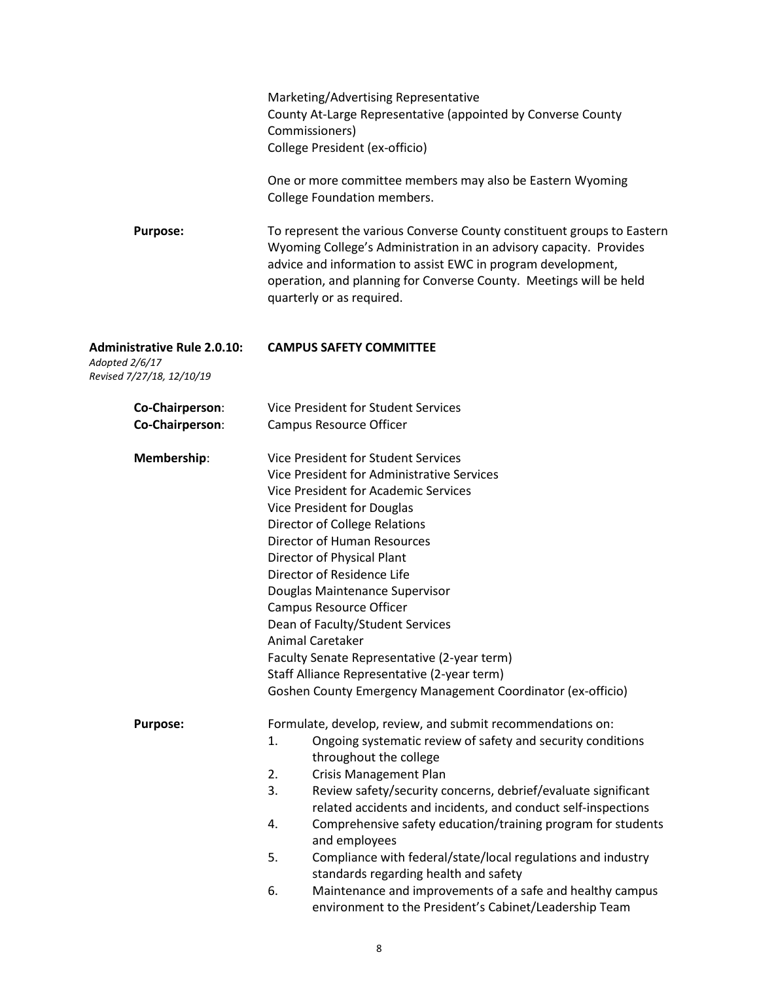|                                                                                   | Marketing/Advertising Representative<br>County At-Large Representative (appointed by Converse County<br>Commissioners)<br>College President (ex-officio)<br>One or more committee members may also be Eastern Wyoming<br>College Foundation members.                                                                                                                                                                                                                                                                                                                                                                                                                        |
|-----------------------------------------------------------------------------------|-----------------------------------------------------------------------------------------------------------------------------------------------------------------------------------------------------------------------------------------------------------------------------------------------------------------------------------------------------------------------------------------------------------------------------------------------------------------------------------------------------------------------------------------------------------------------------------------------------------------------------------------------------------------------------|
| <b>Purpose:</b>                                                                   | To represent the various Converse County constituent groups to Eastern<br>Wyoming College's Administration in an advisory capacity. Provides<br>advice and information to assist EWC in program development,<br>operation, and planning for Converse County. Meetings will be held<br>quarterly or as required.                                                                                                                                                                                                                                                                                                                                                             |
| <b>Administrative Rule 2.0.10:</b><br>Adopted 2/6/17<br>Revised 7/27/18, 12/10/19 | <b>CAMPUS SAFETY COMMITTEE</b>                                                                                                                                                                                                                                                                                                                                                                                                                                                                                                                                                                                                                                              |
| Co-Chairperson:<br>Co-Chairperson:                                                | Vice President for Student Services<br><b>Campus Resource Officer</b>                                                                                                                                                                                                                                                                                                                                                                                                                                                                                                                                                                                                       |
| Membership:                                                                       | Vice President for Student Services<br>Vice President for Administrative Services<br>Vice President for Academic Services<br>Vice President for Douglas<br>Director of College Relations<br>Director of Human Resources<br>Director of Physical Plant<br>Director of Residence Life<br>Douglas Maintenance Supervisor<br>Campus Resource Officer<br>Dean of Faculty/Student Services<br>Animal Caretaker<br>Faculty Senate Representative (2-year term)<br>Staff Alliance Representative (2-year term)<br>Goshen County Emergency Management Coordinator (ex-officio)                                                                                                       |
| <b>Purpose:</b>                                                                   | Formulate, develop, review, and submit recommendations on:<br>Ongoing systematic review of safety and security conditions<br>1.<br>throughout the college<br>2.<br><b>Crisis Management Plan</b><br>3.<br>Review safety/security concerns, debrief/evaluate significant<br>related accidents and incidents, and conduct self-inspections<br>Comprehensive safety education/training program for students<br>4.<br>and employees<br>5.<br>Compliance with federal/state/local regulations and industry<br>standards regarding health and safety<br>6.<br>Maintenance and improvements of a safe and healthy campus<br>environment to the President's Cabinet/Leadership Team |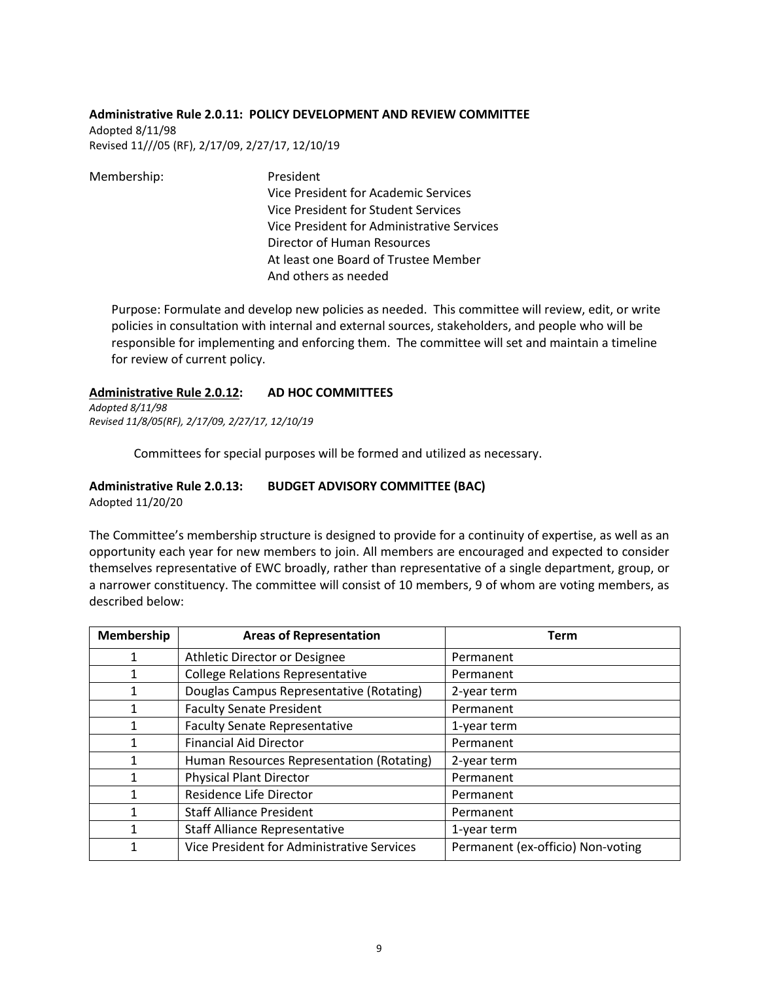#### **Administrative Rule 2.0.11: POLICY DEVELOPMENT AND REVIEW COMMITTEE**

Adopted 8/11/98 Revised 11///05 (RF), 2/17/09, 2/27/17, 12/10/19

Membership: President Vice President for Academic Services Vice President for Student Services Vice President for Administrative Services Director of Human Resources At least one Board of Trustee Member And others as needed

Purpose: Formulate and develop new policies as needed. This committee will review, edit, or write policies in consultation with internal and external sources, stakeholders, and people who will be responsible for implementing and enforcing them. The committee will set and maintain a timeline for review of current policy.

### **Administrative Rule 2.0.12: AD HOC COMMITTEES**

*Adopted 8/11/98 Revised 11/8/05(RF), 2/17/09, 2/27/17, 12/10/19*

Committees for special purposes will be formed and utilized as necessary.

### **Administrative Rule 2.0.13: BUDGET ADVISORY COMMITTEE (BAC)**

Adopted 11/20/20

The Committee's membership structure is designed to provide for a continuity of expertise, as well as an opportunity each year for new members to join. All members are encouraged and expected to consider themselves representative of EWC broadly, rather than representative of a single department, group, or a narrower constituency. The committee will consist of 10 members, 9 of whom are voting members, as described below:

| Membership | <b>Areas of Representation</b>             | Term                              |
|------------|--------------------------------------------|-----------------------------------|
|            | Athletic Director or Designee              | Permanent                         |
|            | <b>College Relations Representative</b>    | Permanent                         |
|            | Douglas Campus Representative (Rotating)   | 2-year term                       |
|            | <b>Faculty Senate President</b>            | Permanent                         |
| 1          | <b>Faculty Senate Representative</b>       | 1-year term                       |
|            | <b>Financial Aid Director</b>              | Permanent                         |
|            | Human Resources Representation (Rotating)  | 2-year term                       |
|            | <b>Physical Plant Director</b>             | Permanent                         |
|            | Residence Life Director                    | Permanent                         |
|            | <b>Staff Alliance President</b>            | Permanent                         |
|            | <b>Staff Alliance Representative</b>       | 1-year term                       |
|            | Vice President for Administrative Services | Permanent (ex-officio) Non-voting |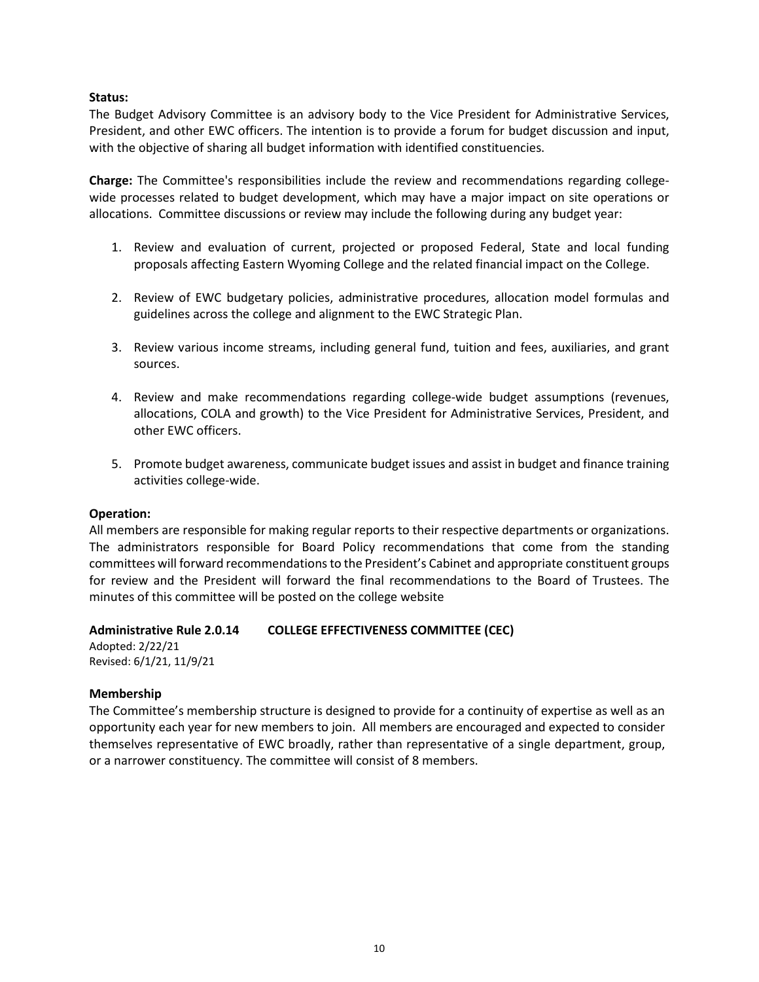#### **Status:**

The Budget Advisory Committee is an advisory body to the Vice President for Administrative Services, President, and other EWC officers. The intention is to provide a forum for budget discussion and input, with the objective of sharing all budget information with identified constituencies.

**Charge:** The Committee's responsibilities include the review and recommendations regarding collegewide processes related to budget development, which may have a major impact on site operations or allocations. Committee discussions or review may include the following during any budget year:

- 1. Review and evaluation of current, projected or proposed Federal, State and local funding proposals affecting Eastern Wyoming College and the related financial impact on the College.
- 2. Review of EWC budgetary policies, administrative procedures, allocation model formulas and guidelines across the college and alignment to the EWC Strategic Plan.
- 3. Review various income streams, including general fund, tuition and fees, auxiliaries, and grant sources.
- 4. Review and make recommendations regarding college-wide budget assumptions (revenues, allocations, COLA and growth) to the Vice President for Administrative Services, President, and other EWC officers.
- 5. Promote budget awareness, communicate budget issues and assist in budget and finance training activities college-wide.

#### **Operation:**

All members are responsible for making regular reports to their respective departments or organizations. The administrators responsible for Board Policy recommendations that come from the standing committees will forward recommendations to the President's Cabinet and appropriate constituent groups for review and the President will forward the final recommendations to the Board of Trustees. The minutes of this committee will be posted on the college website

### **Administrative Rule 2.0.14 COLLEGE EFFECTIVENESS COMMITTEE (CEC)**

Adopted: 2/22/21 Revised: 6/1/21, 11/9/21

### **Membership**

The Committee's membership structure is designed to provide for a continuity of expertise as well as an opportunity each year for new members to join. All members are encouraged and expected to consider themselves representative of EWC broadly, rather than representative of a single department, group, or a narrower constituency. The committee will consist of 8 members.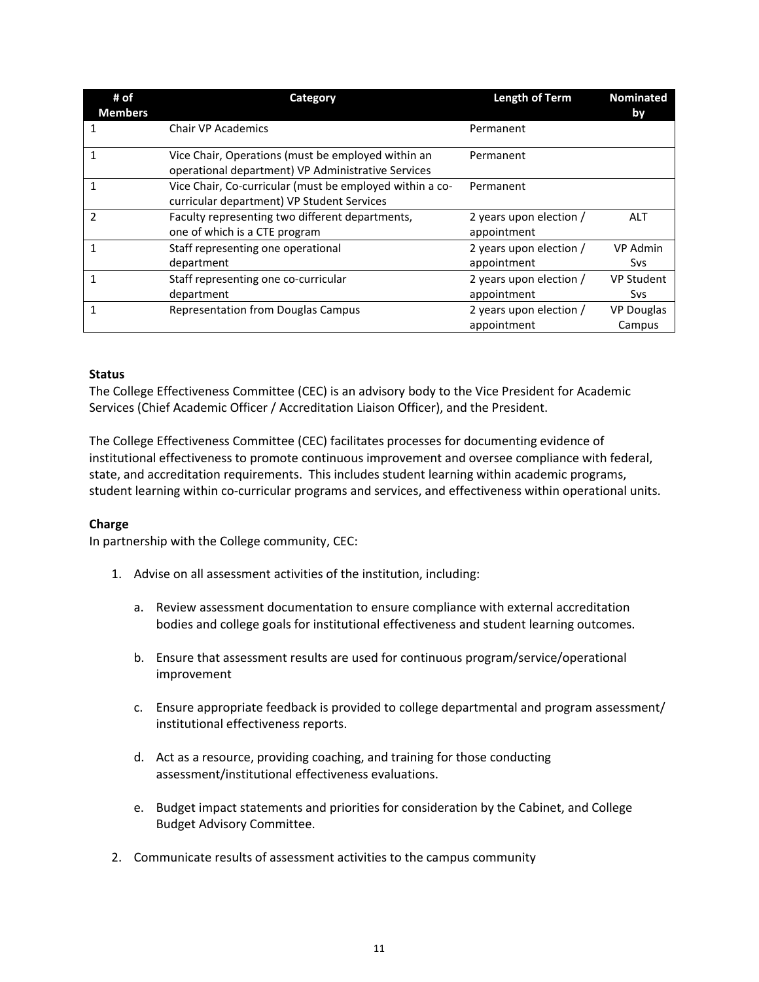| # of<br><b>Members</b> | Category                                                                                                 | Length of Term                         | <b>Nominated</b><br>by      |
|------------------------|----------------------------------------------------------------------------------------------------------|----------------------------------------|-----------------------------|
| 1                      | <b>Chair VP Academics</b>                                                                                | Permanent                              |                             |
| 1                      | Vice Chair, Operations (must be employed within an<br>operational department) VP Administrative Services | Permanent                              |                             |
|                        | Vice Chair, Co-curricular (must be employed within a co-<br>curricular department) VP Student Services   | Permanent                              |                             |
| 2                      | Faculty representing two different departments,<br>one of which is a CTE program                         | 2 years upon election /<br>appointment | ALT                         |
| 1                      | Staff representing one operational<br>department                                                         | 2 years upon election /<br>appointment | <b>VP Admin</b><br>Svs      |
|                        | Staff representing one co-curricular<br>department                                                       | 2 years upon election /<br>appointment | <b>VP Student</b><br>Svs    |
|                        | <b>Representation from Douglas Campus</b>                                                                | 2 years upon election /<br>appointment | <b>VP Douglas</b><br>Campus |

### **Status**

The College Effectiveness Committee (CEC) is an advisory body to the Vice President for Academic Services (Chief Academic Officer / Accreditation Liaison Officer), and the President.

The College Effectiveness Committee (CEC) facilitates processes for documenting evidence of institutional effectiveness to promote continuous improvement and oversee compliance with federal, state, and accreditation requirements. This includes student learning within academic programs, student learning within co-curricular programs and services, and effectiveness within operational units.

### **Charge**

In partnership with the College community, CEC:

- 1. Advise on all assessment activities of the institution, including:
	- a. Review assessment documentation to ensure compliance with external accreditation bodies and college goals for institutional effectiveness and student learning outcomes.
	- b. Ensure that assessment results are used for continuous program/service/operational improvement
	- c. Ensure appropriate feedback is provided to college departmental and program assessment/ institutional effectiveness reports.
	- d. Act as a resource, providing coaching, and training for those conducting assessment/institutional effectiveness evaluations.
	- e. Budget impact statements and priorities for consideration by the Cabinet, and College Budget Advisory Committee.
- 2. Communicate results of assessment activities to the campus community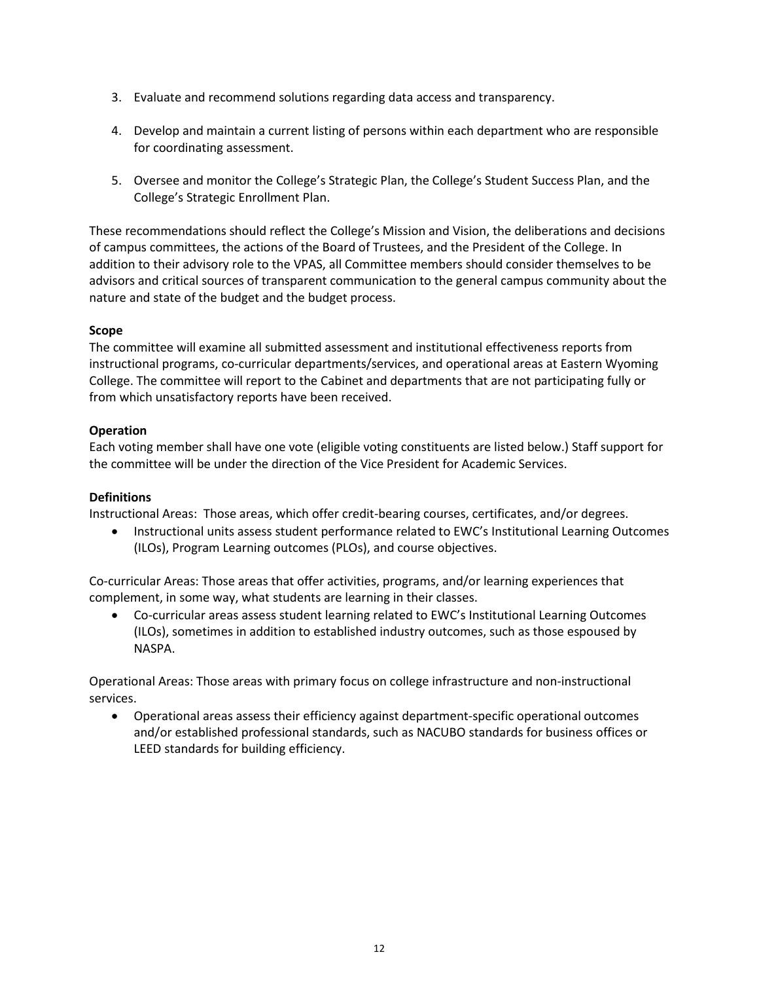- 3. Evaluate and recommend solutions regarding data access and transparency.
- 4. Develop and maintain a current listing of persons within each department who are responsible for coordinating assessment.
- 5. Oversee and monitor the College's Strategic Plan, the College's Student Success Plan, and the College's Strategic Enrollment Plan.

These recommendations should reflect the College's Mission and Vision, the deliberations and decisions of campus committees, the actions of the Board of Trustees, and the President of the College. In addition to their advisory role to the VPAS, all Committee members should consider themselves to be advisors and critical sources of transparent communication to the general campus community about the nature and state of the budget and the budget process.

### **Scope**

The committee will examine all submitted assessment and institutional effectiveness reports from instructional programs, co-curricular departments/services, and operational areas at Eastern Wyoming College. The committee will report to the Cabinet and departments that are not participating fully or from which unsatisfactory reports have been received.

### **Operation**

Each voting member shall have one vote (eligible voting constituents are listed below.) Staff support for the committee will be under the direction of the Vice President for Academic Services.

### **Definitions**

Instructional Areas: Those areas, which offer credit-bearing courses, certificates, and/or degrees.

• Instructional units assess student performance related to EWC's Institutional Learning Outcomes (ILOs), Program Learning outcomes (PLOs), and course objectives.

Co-curricular Areas: Those areas that offer activities, programs, and/or learning experiences that complement, in some way, what students are learning in their classes.

• Co-curricular areas assess student learning related to EWC's Institutional Learning Outcomes (ILOs), sometimes in addition to established industry outcomes, such as those espoused by NASPA.

Operational Areas: Those areas with primary focus on college infrastructure and non-instructional services.

• Operational areas assess their efficiency against department-specific operational outcomes and/or established professional standards, such as NACUBO standards for business offices or LEED standards for building efficiency.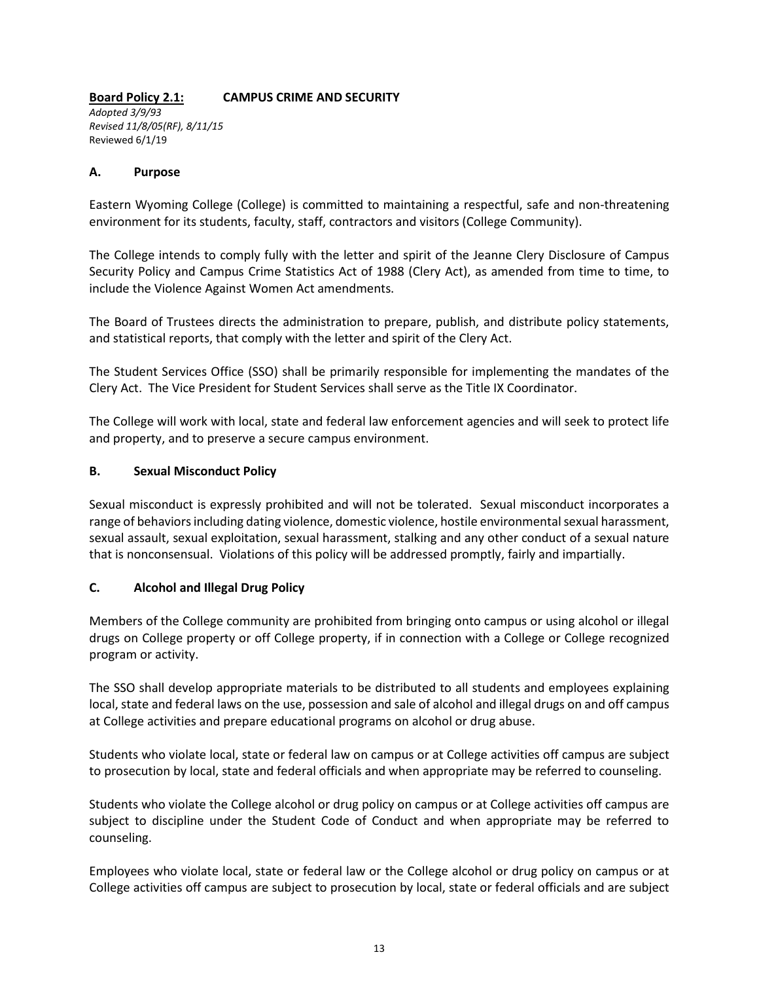# **Board Policy 2.1: CAMPUS CRIME AND SECURITY**

*Adopted 3/9/93 Revised 11/8/05(RF), 8/11/15* Reviewed 6/1/19

### **A. Purpose**

Eastern Wyoming College (College) is committed to maintaining a respectful, safe and non-threatening environment for its students, faculty, staff, contractors and visitors (College Community).

The College intends to comply fully with the letter and spirit of the Jeanne Clery Disclosure of Campus Security Policy and Campus Crime Statistics Act of 1988 (Clery Act), as amended from time to time, to include the Violence Against Women Act amendments.

The Board of Trustees directs the administration to prepare, publish, and distribute policy statements, and statistical reports, that comply with the letter and spirit of the Clery Act.

The Student Services Office (SSO) shall be primarily responsible for implementing the mandates of the Clery Act. The Vice President for Student Services shall serve as the Title IX Coordinator.

The College will work with local, state and federal law enforcement agencies and will seek to protect life and property, and to preserve a secure campus environment.

### **B. Sexual Misconduct Policy**

Sexual misconduct is expressly prohibited and will not be tolerated. Sexual misconduct incorporates a range of behaviors including dating violence, domestic violence, hostile environmental sexual harassment, sexual assault, sexual exploitation, sexual harassment, stalking and any other conduct of a sexual nature that is nonconsensual. Violations of this policy will be addressed promptly, fairly and impartially.

### **C. Alcohol and Illegal Drug Policy**

Members of the College community are prohibited from bringing onto campus or using alcohol or illegal drugs on College property or off College property, if in connection with a College or College recognized program or activity.

The SSO shall develop appropriate materials to be distributed to all students and employees explaining local, state and federal laws on the use, possession and sale of alcohol and illegal drugs on and off campus at College activities and prepare educational programs on alcohol or drug abuse.

Students who violate local, state or federal law on campus or at College activities off campus are subject to prosecution by local, state and federal officials and when appropriate may be referred to counseling.

Students who violate the College alcohol or drug policy on campus or at College activities off campus are subject to discipline under the Student Code of Conduct and when appropriate may be referred to counseling.

Employees who violate local, state or federal law or the College alcohol or drug policy on campus or at College activities off campus are subject to prosecution by local, state or federal officials and are subject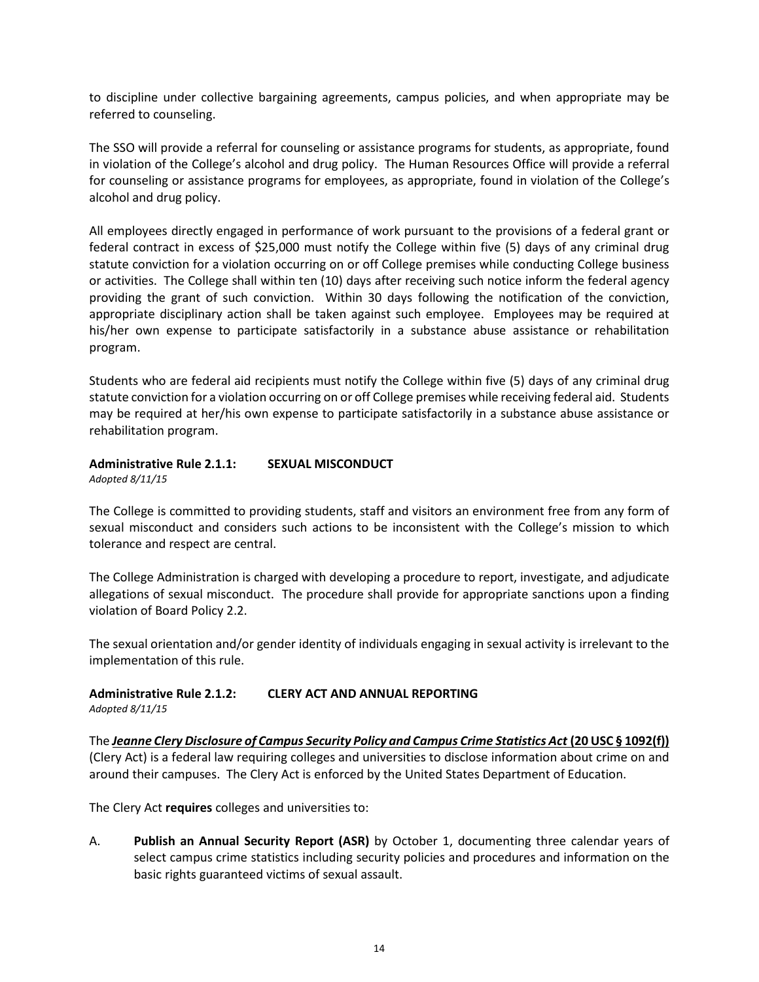to discipline under collective bargaining agreements, campus policies, and when appropriate may be referred to counseling.

The SSO will provide a referral for counseling or assistance programs for students, as appropriate, found in violation of the College's alcohol and drug policy. The Human Resources Office will provide a referral for counseling or assistance programs for employees, as appropriate, found in violation of the College's alcohol and drug policy.

All employees directly engaged in performance of work pursuant to the provisions of a federal grant or federal contract in excess of \$25,000 must notify the College within five (5) days of any criminal drug statute conviction for a violation occurring on or off College premises while conducting College business or activities. The College shall within ten (10) days after receiving such notice inform the federal agency providing the grant of such conviction. Within 30 days following the notification of the conviction, appropriate disciplinary action shall be taken against such employee. Employees may be required at his/her own expense to participate satisfactorily in a substance abuse assistance or rehabilitation program.

Students who are federal aid recipients must notify the College within five (5) days of any criminal drug statute conviction for a violation occurring on or off College premises while receiving federal aid. Students may be required at her/his own expense to participate satisfactorily in a substance abuse assistance or rehabilitation program.

#### **Administrative Rule 2.1.1: SEXUAL MISCONDUCT** *Adopted 8/11/15*

The College is committed to providing students, staff and visitors an environment free from any form of sexual misconduct and considers such actions to be inconsistent with the College's mission to which tolerance and respect are central.

The College Administration is charged with developing a procedure to report, investigate, and adjudicate allegations of sexual misconduct. The procedure shall provide for appropriate sanctions upon a finding violation of Board Policy 2.2.

The sexual orientation and/or gender identity of individuals engaging in sexual activity is irrelevant to the implementation of this rule.

# **Administrative Rule 2.1.2: CLERY ACT AND ANNUAL REPORTING**

*Adopted 8/11/15*

The *[Jeanne Clery Disclosure of Campus Security Policy and Campus Crime Statistics Act](http://clerycenter.org/node/38)* **(20 USC § 1092(f))** (Clery Act) is a federal law requiring colleges and universities to disclose information about crime on and around their campuses. The Clery Act is enforced by the United States Department of Education.

The Clery Act **requires** colleges and universities to:

A. **Publish an Annual Security Report (ASR)** by October 1, documenting three calendar years of select campus crime statistics including security policies and procedures and information on the basic rights guaranteed victims of sexual assault.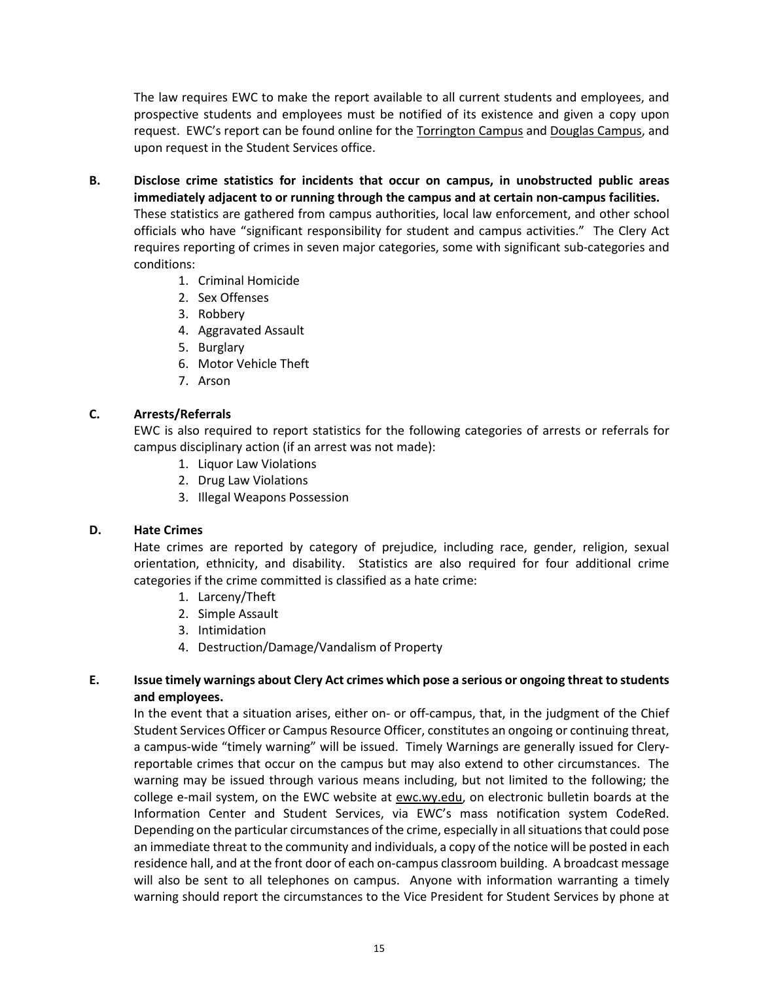The law requires EWC to make the report available to all current students and employees, and prospective students and employees must be notified of its existence and given a copy upon request. EWC's report can be found online for the [Torrington Campus](http://ewc.wy.edu/documents/2014/02/campus-crime-statistics-torrington-campus.pdf) and [Douglas Campus,](http://ewc.wy.edu/documents/2014/05/campus-crime-statistics-douglas-campus.pdf) and upon request in the Student Services office.

- **B. Disclose crime statistics for incidents that occur on campus, in unobstructed public areas immediately adjacent to or running through the campus and at certain non-campus facilities.**  These statistics are gathered from campus authorities, local law enforcement, and other school officials who have "significant responsibility for student and campus activities." The Clery Act requires reporting of crimes in seven major categories, some with significant sub-categories and conditions:
	- 1. Criminal Homicide
	- 2. Sex Offenses
	- 3. Robbery
	- 4. Aggravated Assault
	- 5. Burglary
	- 6. Motor Vehicle Theft
	- 7. Arson

### **C. Arrests/Referrals**

EWC is also required to report statistics for the following categories of arrests or referrals for campus disciplinary action (if an arrest was not made):

- 1. Liquor Law Violations
- 2. Drug Law Violations
- 3. Illegal Weapons Possession

### **D. Hate Crimes**

Hate crimes are reported by category of prejudice, including race, gender, religion, sexual orientation, ethnicity, and disability. Statistics are also required for four additional crime categories if the crime committed is classified as a hate crime:

- 1. Larceny/Theft
- 2. Simple Assault
- 3. Intimidation
- 4. Destruction/Damage/Vandalism of Property

### **E. Issue timely warnings about Clery Act crimes which pose a serious or ongoing threat to students and employees.**

In the event that a situation arises, either on- or off-campus, that, in the judgment of the Chief Student Services Officer or Campus Resource Officer, constitutes an ongoing or continuing threat, a campus-wide "timely warning" will be issued. Timely Warnings are generally issued for Cleryreportable crimes that occur on the campus but may also extend to other circumstances. The warning may be issued through various means including, but not limited to the following; the college e-mail system, on the EWC website at [ewc.wy.edu,](http://www.ewc.wy.edu/) on electronic bulletin boards at the Information Center and Student Services, via EWC's mass notification system CodeRed. Depending on the particular circumstances of the crime, especially in all situations that could pose an immediate threat to the community and individuals, a copy of the notice will be posted in each residence hall, and at the front door of each on-campus classroom building. A broadcast message will also be sent to all telephones on campus. Anyone with information warranting a timely warning should report the circumstances to the Vice President for Student Services by phone at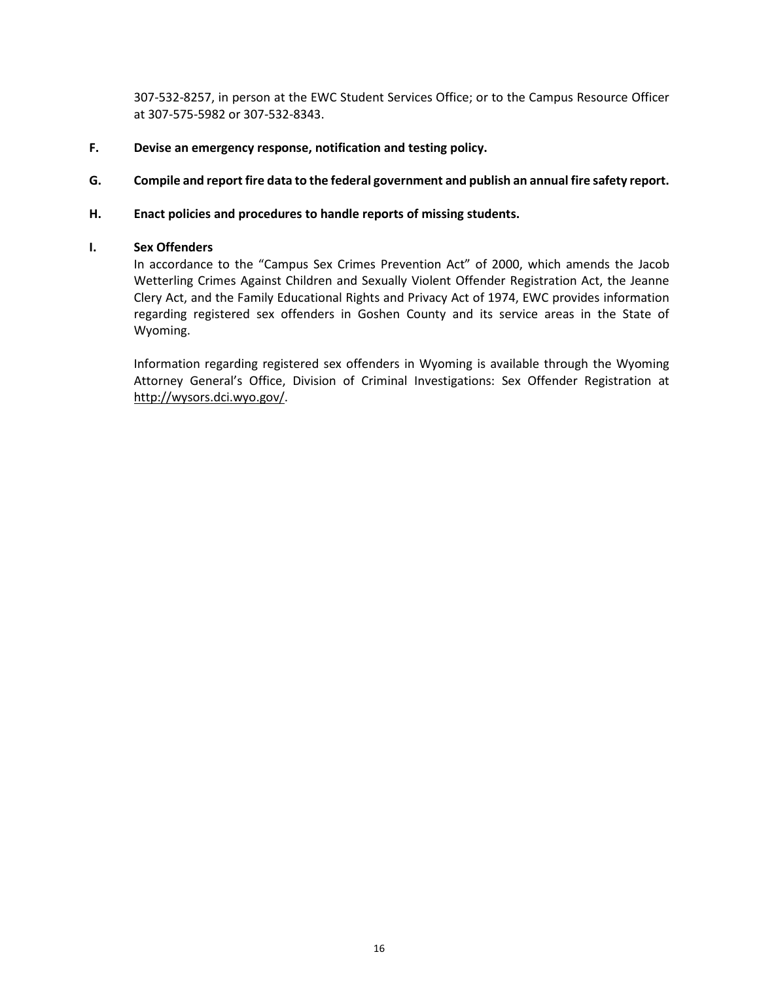307-532-8257, in person at the EWC Student Services Office; or to the Campus Resource Officer at 307-575-5982 or 307-532-8343.

- **F. Devise an emergency response, notification and testing policy.**
- **G. Compile and report fire data to the federal government and publish an annual fire safety report.**

#### **H. Enact policies and procedures to handle reports of missing students.**

#### **I. Sex Offenders**

In accordance to the "Campus Sex Crimes Prevention Act" of 2000, which amends the Jacob Wetterling Crimes Against Children and Sexually Violent Offender Registration Act, the Jeanne Clery Act, and the Family Educational Rights and Privacy Act of 1974, EWC provides information regarding registered sex offenders in Goshen County and its service areas in the State of Wyoming.

Information regarding registered sex offenders in Wyoming is available through the Wyoming Attorney General's Office, Division of Criminal Investigations: Sex Offender Registration at [http://wysors.dci.wyo.gov/.](http://wysors.dci.wyo.gov/)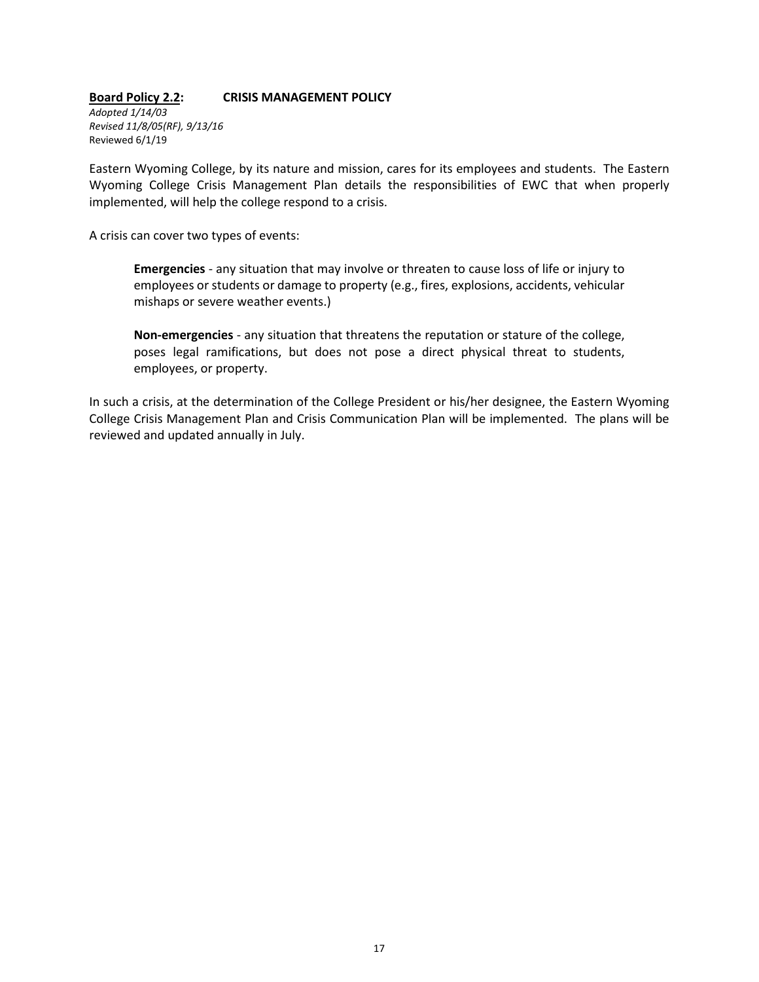#### **Board Policy 2.2: CRISIS MANAGEMENT POLICY**

*Adopted 1/14/03 Revised 11/8/05(RF), 9/13/16* Reviewed 6/1/19

Eastern Wyoming College, by its nature and mission, cares for its employees and students. The Eastern Wyoming College Crisis Management Plan details the responsibilities of EWC that when properly implemented, will help the college respond to a crisis.

A crisis can cover two types of events:

**Emergencies** - any situation that may involve or threaten to cause loss of life or injury to employees or students or damage to property (e.g., fires, explosions, accidents, vehicular mishaps or severe weather events.)

**Non-emergencies** - any situation that threatens the reputation or stature of the college, poses legal ramifications, but does not pose a direct physical threat to students, employees, or property.

In such a crisis, at the determination of the College President or his/her designee, the Eastern Wyoming College Crisis Management Plan and Crisis Communication Plan will be implemented. The plans will be reviewed and updated annually in July.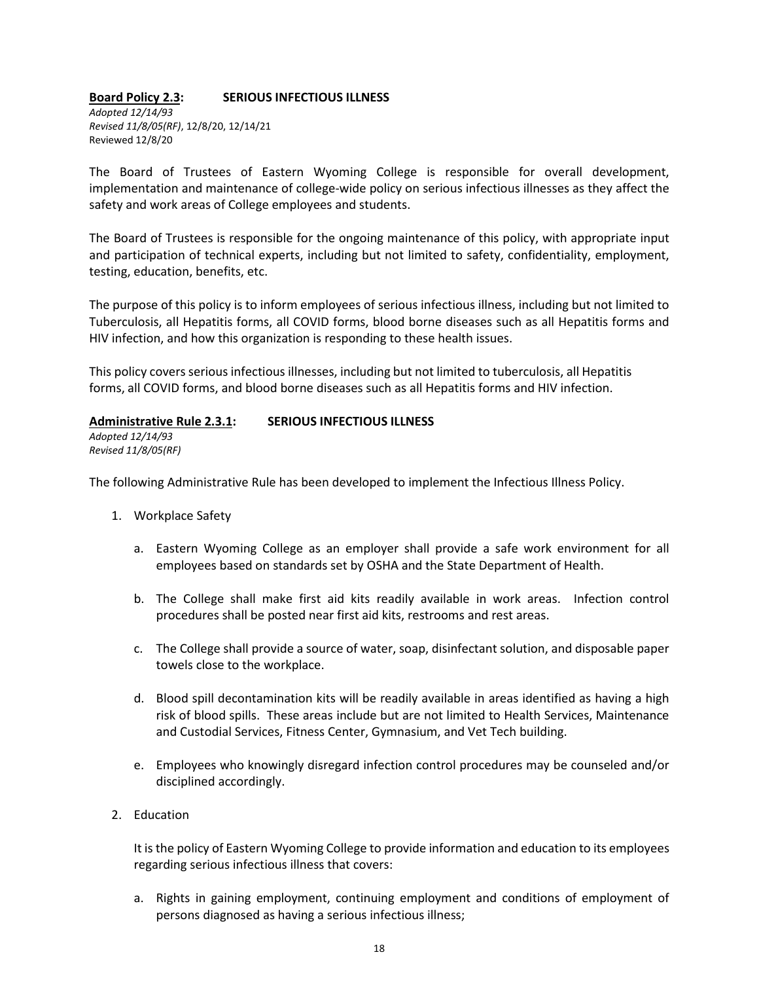#### **Board Policy 2.3: SERIOUS INFECTIOUS ILLNESS**

*Adopted 12/14/93 Revised 11/8/05(RF)*, 12/8/20, 12/14/21 Reviewed 12/8/20

The Board of Trustees of Eastern Wyoming College is responsible for overall development, implementation and maintenance of college-wide policy on serious infectious illnesses as they affect the safety and work areas of College employees and students.

The Board of Trustees is responsible for the ongoing maintenance of this policy, with appropriate input and participation of technical experts, including but not limited to safety, confidentiality, employment, testing, education, benefits, etc.

The purpose of this policy is to inform employees of serious infectious illness, including but not limited to Tuberculosis, all Hepatitis forms, all COVID forms, blood borne diseases such as all Hepatitis forms and HIV infection, and how this organization is responding to these health issues.

This policy covers serious infectious illnesses, including but not limited to tuberculosis, all Hepatitis forms, all COVID forms, and blood borne diseases such as all Hepatitis forms and HIV infection.

### **Administrative Rule 2.3.1: SERIOUS INFECTIOUS ILLNESS**

*Adopted 12/14/93 Revised 11/8/05(RF)*

The following Administrative Rule has been developed to implement the Infectious Illness Policy.

- 1. Workplace Safety
	- a. Eastern Wyoming College as an employer shall provide a safe work environment for all employees based on standards set by OSHA and the State Department of Health.
	- b. The College shall make first aid kits readily available in work areas. Infection control procedures shall be posted near first aid kits, restrooms and rest areas.
	- c. The College shall provide a source of water, soap, disinfectant solution, and disposable paper towels close to the workplace.
	- d. Blood spill decontamination kits will be readily available in areas identified as having a high risk of blood spills. These areas include but are not limited to Health Services, Maintenance and Custodial Services, Fitness Center, Gymnasium, and Vet Tech building.
	- e. Employees who knowingly disregard infection control procedures may be counseled and/or disciplined accordingly.
- 2. Education

It is the policy of Eastern Wyoming College to provide information and education to its employees regarding serious infectious illness that covers:

a. Rights in gaining employment, continuing employment and conditions of employment of persons diagnosed as having a serious infectious illness;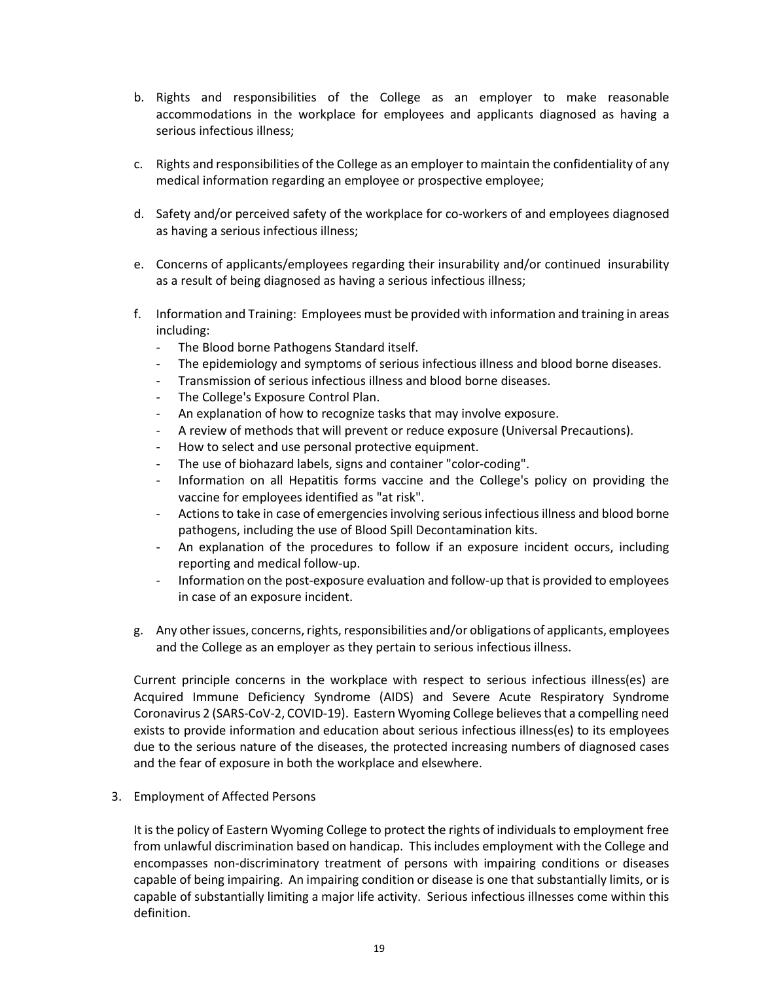- b. Rights and responsibilities of the College as an employer to make reasonable accommodations in the workplace for employees and applicants diagnosed as having a serious infectious illness;
- c. Rights and responsibilities of the College as an employer to maintain the confidentiality of any medical information regarding an employee or prospective employee;
- d. Safety and/or perceived safety of the workplace for co-workers of and employees diagnosed as having a serious infectious illness;
- e. Concerns of applicants/employees regarding their insurability and/or continued insurability as a result of being diagnosed as having a serious infectious illness;
- f. Information and Training: Employees must be provided with information and training in areas including:
	- The Blood borne Pathogens Standard itself.
	- The epidemiology and symptoms of serious infectious illness and blood borne diseases.
	- Transmission of serious infectious illness and blood borne diseases.
	- The College's Exposure Control Plan.
	- An explanation of how to recognize tasks that may involve exposure.
	- A review of methods that will prevent or reduce exposure (Universal Precautions).
	- How to select and use personal protective equipment.
	- The use of biohazard labels, signs and container "color-coding".
	- Information on all Hepatitis forms vaccine and the College's policy on providing the vaccine for employees identified as "at risk".
	- Actions to take in case of emergencies involving serious infectious illness and blood borne pathogens, including the use of Blood Spill Decontamination kits.
	- An explanation of the procedures to follow if an exposure incident occurs, including reporting and medical follow-up.
	- Information on the post-exposure evaluation and follow-up that is provided to employees in case of an exposure incident.
- g. Any other issues, concerns, rights, responsibilities and/or obligations of applicants, employees and the College as an employer as they pertain to serious infectious illness.

Current principle concerns in the workplace with respect to serious infectious illness(es) are Acquired Immune Deficiency Syndrome (AIDS) and Severe Acute Respiratory Syndrome Coronavirus 2 (SARS-CoV-2, COVID-19). Eastern Wyoming College believes that a compelling need exists to provide information and education about serious infectious illness(es) to its employees due to the serious nature of the diseases, the protected increasing numbers of diagnosed cases and the fear of exposure in both the workplace and elsewhere.

### 3. Employment of Affected Persons

It is the policy of Eastern Wyoming College to protect the rights of individuals to employment free from unlawful discrimination based on handicap. This includes employment with the College and encompasses non-discriminatory treatment of persons with impairing conditions or diseases capable of being impairing. An impairing condition or disease is one that substantially limits, or is capable of substantially limiting a major life activity. Serious infectious illnesses come within this definition.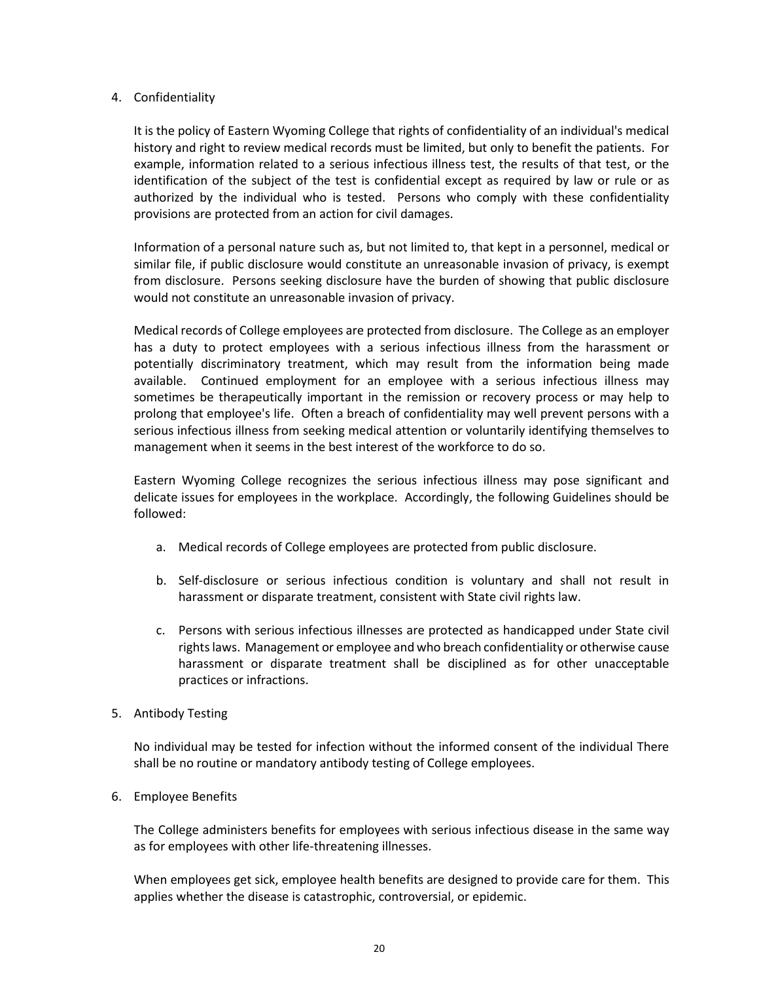### 4. Confidentiality

It is the policy of Eastern Wyoming College that rights of confidentiality of an individual's medical history and right to review medical records must be limited, but only to benefit the patients. For example, information related to a serious infectious illness test, the results of that test, or the identification of the subject of the test is confidential except as required by law or rule or as authorized by the individual who is tested. Persons who comply with these confidentiality provisions are protected from an action for civil damages.

Information of a personal nature such as, but not limited to, that kept in a personnel, medical or similar file, if public disclosure would constitute an unreasonable invasion of privacy, is exempt from disclosure. Persons seeking disclosure have the burden of showing that public disclosure would not constitute an unreasonable invasion of privacy.

Medical records of College employees are protected from disclosure. The College as an employer has a duty to protect employees with a serious infectious illness from the harassment or potentially discriminatory treatment, which may result from the information being made available. Continued employment for an employee with a serious infectious illness may sometimes be therapeutically important in the remission or recovery process or may help to prolong that employee's life. Often a breach of confidentiality may well prevent persons with a serious infectious illness from seeking medical attention or voluntarily identifying themselves to management when it seems in the best interest of the workforce to do so.

Eastern Wyoming College recognizes the serious infectious illness may pose significant and delicate issues for employees in the workplace. Accordingly, the following Guidelines should be followed:

- a. Medical records of College employees are protected from public disclosure.
- b. Self-disclosure or serious infectious condition is voluntary and shall not result in harassment or disparate treatment, consistent with State civil rights law.
- c. Persons with serious infectious illnesses are protected as handicapped under State civil rights laws. Management or employee and who breach confidentiality or otherwise cause harassment or disparate treatment shall be disciplined as for other unacceptable practices or infractions.

### 5. Antibody Testing

No individual may be tested for infection without the informed consent of the individual There shall be no routine or mandatory antibody testing of College employees.

### 6. Employee Benefits

The College administers benefits for employees with serious infectious disease in the same way as for employees with other life-threatening illnesses.

When employees get sick, employee health benefits are designed to provide care for them. This applies whether the disease is catastrophic, controversial, or epidemic.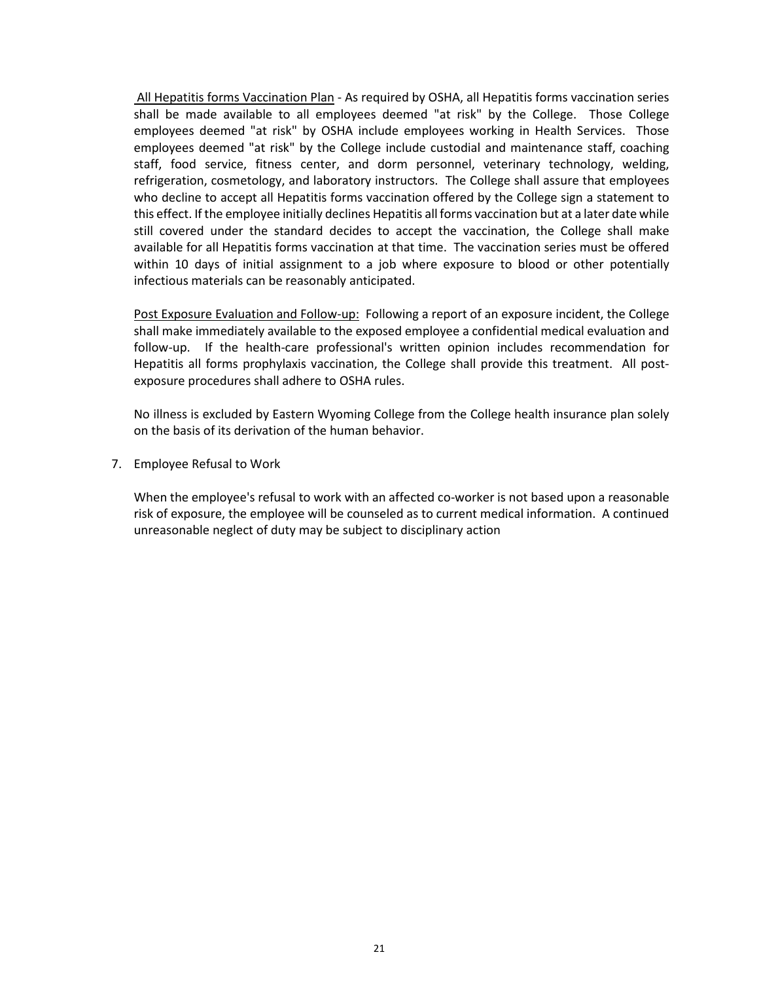All Hepatitis forms Vaccination Plan - As required by OSHA, all Hepatitis forms vaccination series shall be made available to all employees deemed "at risk" by the College. Those College employees deemed "at risk" by OSHA include employees working in Health Services. Those employees deemed "at risk" by the College include custodial and maintenance staff, coaching staff, food service, fitness center, and dorm personnel, veterinary technology, welding, refrigeration, cosmetology, and laboratory instructors. The College shall assure that employees who decline to accept all Hepatitis forms vaccination offered by the College sign a statement to this effect. If the employee initially declines Hepatitis all forms vaccination but at a later date while still covered under the standard decides to accept the vaccination, the College shall make available for all Hepatitis forms vaccination at that time. The vaccination series must be offered within 10 days of initial assignment to a job where exposure to blood or other potentially infectious materials can be reasonably anticipated.

Post Exposure Evaluation and Follow-up: Following a report of an exposure incident, the College shall make immediately available to the exposed employee a confidential medical evaluation and follow-up. If the health-care professional's written opinion includes recommendation for Hepatitis all forms prophylaxis vaccination, the College shall provide this treatment. All postexposure procedures shall adhere to OSHA rules.

No illness is excluded by Eastern Wyoming College from the College health insurance plan solely on the basis of its derivation of the human behavior.

7. Employee Refusal to Work

When the employee's refusal to work with an affected co-worker is not based upon a reasonable risk of exposure, the employee will be counseled as to current medical information. A continued unreasonable neglect of duty may be subject to disciplinary action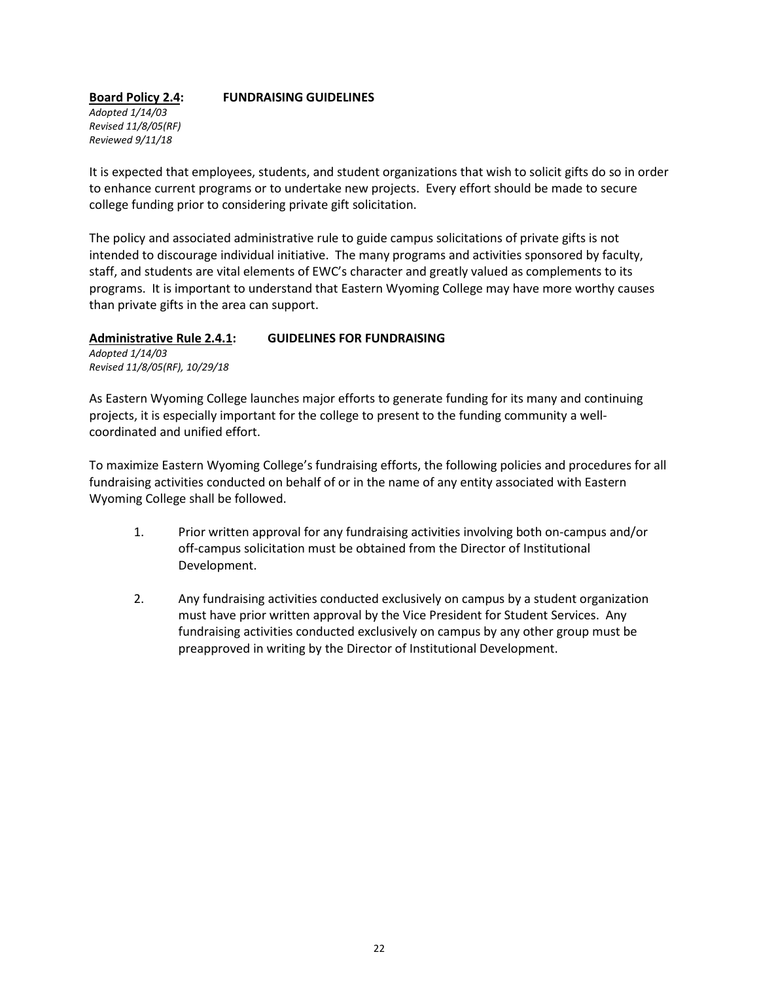# **Board Policy 2.4: FUNDRAISING GUIDELINES**

*Adopted 1/14/03 Revised 11/8/05(RF) Reviewed 9/11/18*

It is expected that employees, students, and student organizations that wish to solicit gifts do so in order to enhance current programs or to undertake new projects. Every effort should be made to secure college funding prior to considering private gift solicitation.

The policy and associated administrative rule to guide campus solicitations of private gifts is not intended to discourage individual initiative. The many programs and activities sponsored by faculty, staff, and students are vital elements of EWC's character and greatly valued as complements to its programs. It is important to understand that Eastern Wyoming College may have more worthy causes than private gifts in the area can support.

### **Administrative Rule 2.4.1: GUIDELINES FOR FUNDRAISING**

*Adopted 1/14/03 Revised 11/8/05(RF), 10/29/18*

As Eastern Wyoming College launches major efforts to generate funding for its many and continuing projects, it is especially important for the college to present to the funding community a wellcoordinated and unified effort.

To maximize Eastern Wyoming College's fundraising efforts, the following policies and procedures for all fundraising activities conducted on behalf of or in the name of any entity associated with Eastern Wyoming College shall be followed.

- 1. Prior written approval for any fundraising activities involving both on-campus and/or off-campus solicitation must be obtained from the Director of Institutional Development.
- 2. Any fundraising activities conducted exclusively on campus by a student organization must have prior written approval by the Vice President for Student Services. Any fundraising activities conducted exclusively on campus by any other group must be preapproved in writing by the Director of Institutional Development.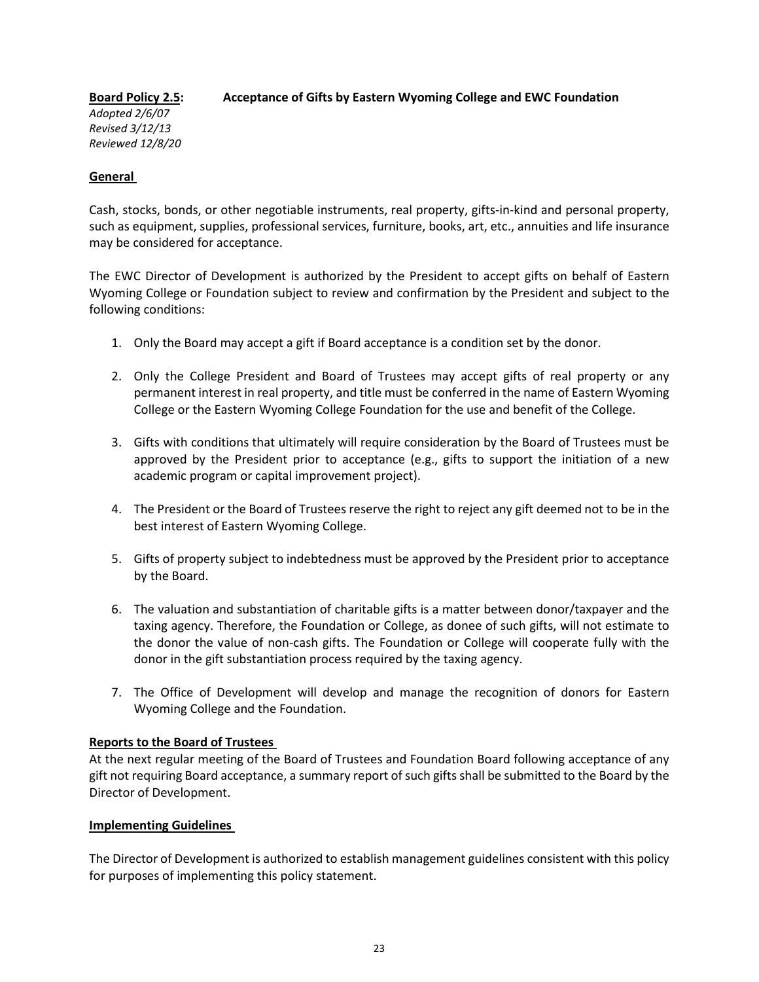### **Board Policy 2.5: Acceptance of Gifts by Eastern Wyoming College and EWC Foundation**

*Adopted 2/6/07 Revised 3/12/13 Reviewed 12/8/20*

### **General**

Cash, stocks, bonds, or other negotiable instruments, real property, gifts-in-kind and personal property, such as equipment, supplies, professional services, furniture, books, art, etc., annuities and life insurance may be considered for acceptance.

The EWC Director of Development is authorized by the President to accept gifts on behalf of Eastern Wyoming College or Foundation subject to review and confirmation by the President and subject to the following conditions:

- 1. Only the Board may accept a gift if Board acceptance is a condition set by the donor.
- 2. Only the College President and Board of Trustees may accept gifts of real property or any permanent interest in real property, and title must be conferred in the name of Eastern Wyoming College or the Eastern Wyoming College Foundation for the use and benefit of the College.
- 3. Gifts with conditions that ultimately will require consideration by the Board of Trustees must be approved by the President prior to acceptance (e.g., gifts to support the initiation of a new academic program or capital improvement project).
- 4. The President or the Board of Trustees reserve the right to reject any gift deemed not to be in the best interest of Eastern Wyoming College.
- 5. Gifts of property subject to indebtedness must be approved by the President prior to acceptance by the Board.
- 6. The valuation and substantiation of charitable gifts is a matter between donor/taxpayer and the taxing agency. Therefore, the Foundation or College, as donee of such gifts, will not estimate to the donor the value of non-cash gifts. The Foundation or College will cooperate fully with the donor in the gift substantiation process required by the taxing agency.
- 7. The Office of Development will develop and manage the recognition of donors for Eastern Wyoming College and the Foundation.

### **Reports to the Board of Trustees**

At the next regular meeting of the Board of Trustees and Foundation Board following acceptance of any gift not requiring Board acceptance, a summary report of such gifts shall be submitted to the Board by the Director of Development.

### **Implementing Guidelines**

The Director of Development is authorized to establish management guidelines consistent with this policy for purposes of implementing this policy statement.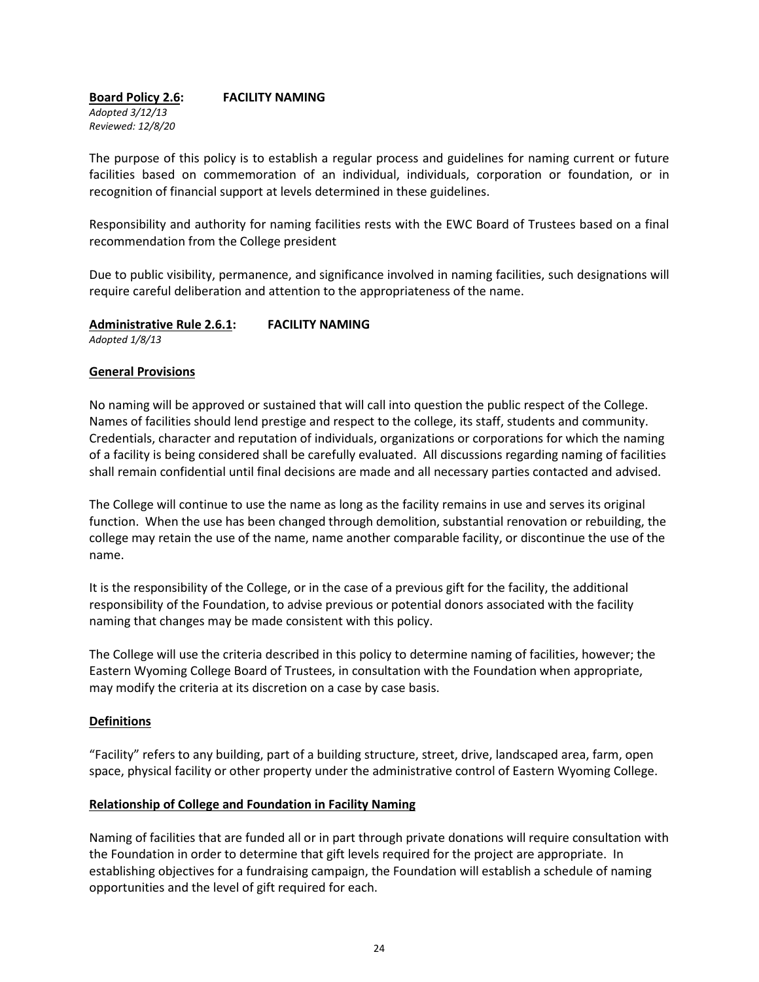**Board Policy 2.6: FACILITY NAMING** *Adopted 3/12/13 Reviewed: 12/8/20*

The purpose of this policy is to establish a regular process and guidelines for naming current or future facilities based on commemoration of an individual, individuals, corporation or foundation, or in recognition of financial support at levels determined in these guidelines.

Responsibility and authority for naming facilities rests with the EWC Board of Trustees based on a final recommendation from the College president

Due to public visibility, permanence, and significance involved in naming facilities, such designations will require careful deliberation and attention to the appropriateness of the name.

**Administrative Rule 2.6.1: FACILITY NAMING**

*Adopted 1/8/13*

### **General Provisions**

No naming will be approved or sustained that will call into question the public respect of the College. Names of facilities should lend prestige and respect to the college, its staff, students and community. Credentials, character and reputation of individuals, organizations or corporations for which the naming of a facility is being considered shall be carefully evaluated. All discussions regarding naming of facilities shall remain confidential until final decisions are made and all necessary parties contacted and advised.

The College will continue to use the name as long as the facility remains in use and serves its original function. When the use has been changed through demolition, substantial renovation or rebuilding, the college may retain the use of the name, name another comparable facility, or discontinue the use of the name.

It is the responsibility of the College, or in the case of a previous gift for the facility, the additional responsibility of the Foundation, to advise previous or potential donors associated with the facility naming that changes may be made consistent with this policy.

The College will use the criteria described in this policy to determine naming of facilities, however; the Eastern Wyoming College Board of Trustees, in consultation with the Foundation when appropriate, may modify the criteria at its discretion on a case by case basis.

### **Definitions**

"Facility" refers to any building, part of a building structure, street, drive, landscaped area, farm, open space, physical facility or other property under the administrative control of Eastern Wyoming College.

### **Relationship of College and Foundation in Facility Naming**

Naming of facilities that are funded all or in part through private donations will require consultation with the Foundation in order to determine that gift levels required for the project are appropriate. In establishing objectives for a fundraising campaign, the Foundation will establish a schedule of naming opportunities and the level of gift required for each.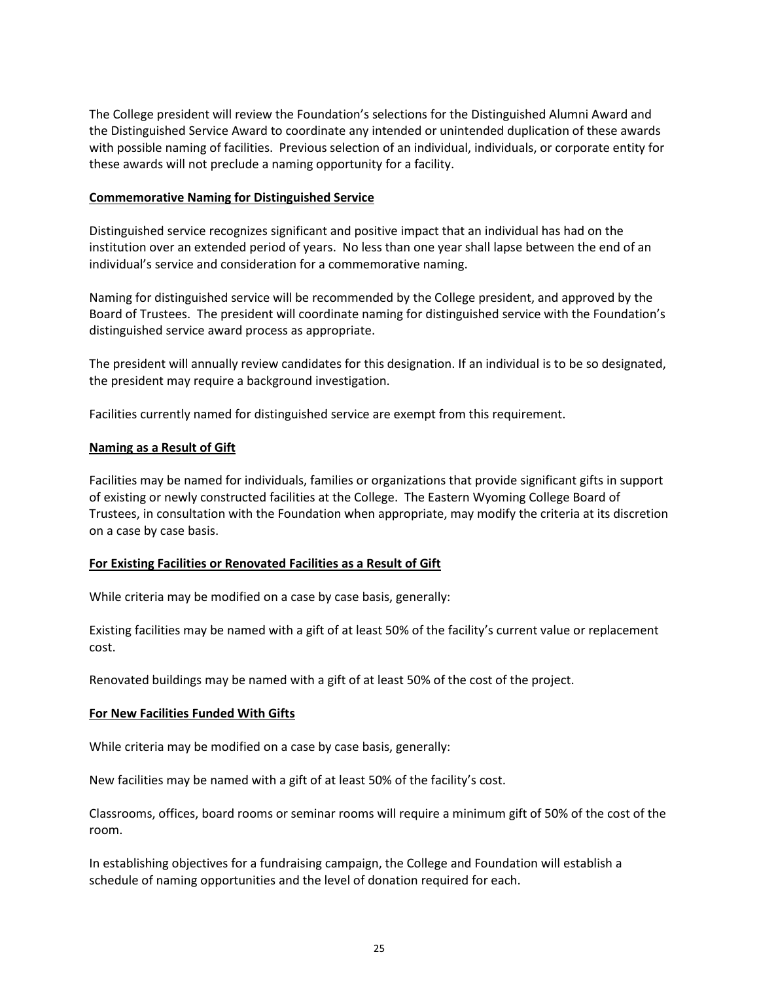The College president will review the Foundation's selections for the Distinguished Alumni Award and the Distinguished Service Award to coordinate any intended or unintended duplication of these awards with possible naming of facilities. Previous selection of an individual, individuals, or corporate entity for these awards will not preclude a naming opportunity for a facility.

### **Commemorative Naming for Distinguished Service**

Distinguished service recognizes significant and positive impact that an individual has had on the institution over an extended period of years. No less than one year shall lapse between the end of an individual's service and consideration for a commemorative naming.

Naming for distinguished service will be recommended by the College president, and approved by the Board of Trustees. The president will coordinate naming for distinguished service with the Foundation's distinguished service award process as appropriate.

The president will annually review candidates for this designation. If an individual is to be so designated, the president may require a background investigation.

Facilities currently named for distinguished service are exempt from this requirement.

### **Naming as a Result of Gift**

Facilities may be named for individuals, families or organizations that provide significant gifts in support of existing or newly constructed facilities at the College. The Eastern Wyoming College Board of Trustees, in consultation with the Foundation when appropriate, may modify the criteria at its discretion on a case by case basis.

### **For Existing Facilities or Renovated Facilities as a Result of Gift**

While criteria may be modified on a case by case basis, generally:

Existing facilities may be named with a gift of at least 50% of the facility's current value or replacement cost.

Renovated buildings may be named with a gift of at least 50% of the cost of the project.

### **For New Facilities Funded With Gifts**

While criteria may be modified on a case by case basis, generally:

New facilities may be named with a gift of at least 50% of the facility's cost.

Classrooms, offices, board rooms or seminar rooms will require a minimum gift of 50% of the cost of the room.

In establishing objectives for a fundraising campaign, the College and Foundation will establish a schedule of naming opportunities and the level of donation required for each.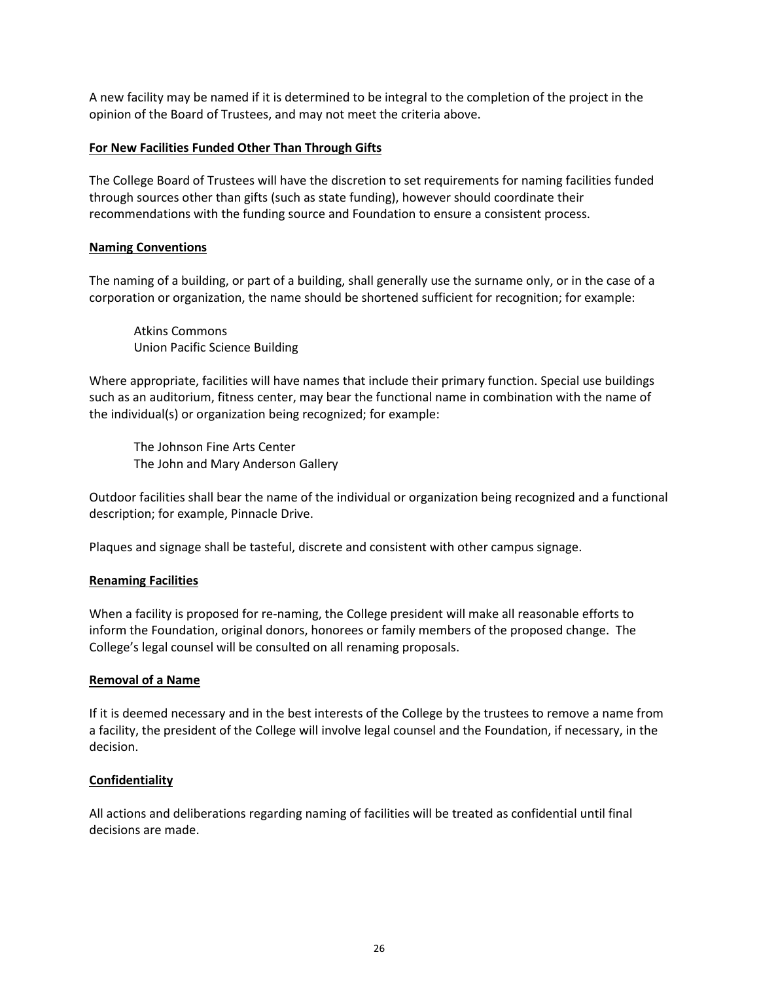A new facility may be named if it is determined to be integral to the completion of the project in the opinion of the Board of Trustees, and may not meet the criteria above.

### **For New Facilities Funded Other Than Through Gifts**

The College Board of Trustees will have the discretion to set requirements for naming facilities funded through sources other than gifts (such as state funding), however should coordinate their recommendations with the funding source and Foundation to ensure a consistent process.

### **Naming Conventions**

The naming of a building, or part of a building, shall generally use the surname only, or in the case of a corporation or organization, the name should be shortened sufficient for recognition; for example:

Atkins Commons Union Pacific Science Building

Where appropriate, facilities will have names that include their primary function. Special use buildings such as an auditorium, fitness center, may bear the functional name in combination with the name of the individual(s) or organization being recognized; for example:

The Johnson Fine Arts Center The John and Mary Anderson Gallery

Outdoor facilities shall bear the name of the individual or organization being recognized and a functional description; for example, Pinnacle Drive.

Plaques and signage shall be tasteful, discrete and consistent with other campus signage.

### **Renaming Facilities**

When a facility is proposed for re-naming, the College president will make all reasonable efforts to inform the Foundation, original donors, honorees or family members of the proposed change. The College's legal counsel will be consulted on all renaming proposals.

### **Removal of a Name**

If it is deemed necessary and in the best interests of the College by the trustees to remove a name from a facility, the president of the College will involve legal counsel and the Foundation, if necessary, in the decision.

### **Confidentiality**

All actions and deliberations regarding naming of facilities will be treated as confidential until final decisions are made.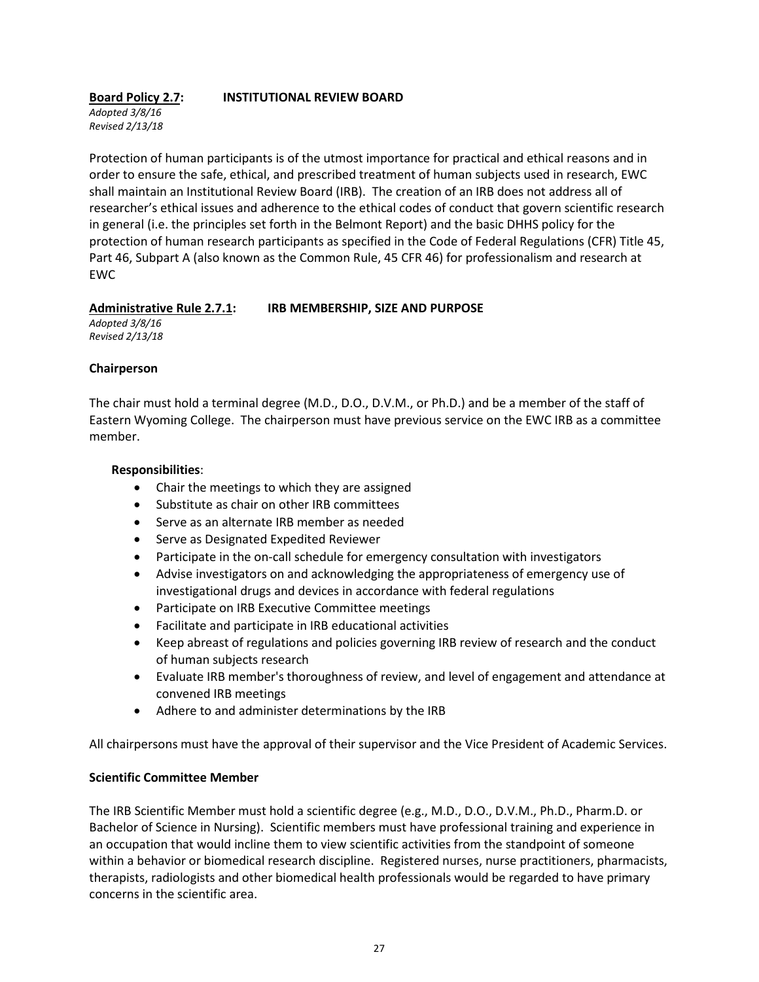# **Board Policy 2.7: INSTITUTIONAL REVIEW BOARD**

*Adopted 3/8/16 Revised 2/13/18*

Protection of human participants is of the utmost importance for practical and ethical reasons and in order to ensure the safe, ethical, and prescribed treatment of human subjects used in research, EWC shall maintain an Institutional Review Board (IRB). The creation of an IRB does not address all of researcher's ethical issues and adherence to the ethical codes of conduct that govern scientific research in general (i.e. the principles set forth in the Belmont Report) and the basic DHHS policy for the protection of human research participants as specified in the Code of Federal Regulations (CFR) Title 45, Part 46, Subpart A (also known as the Common Rule, 45 CFR 46) for professionalism and research at EWC

### **Administrative Rule 2.7.1: IRB MEMBERSHIP, SIZE AND PURPOSE**

*Adopted 3/8/16 Revised 2/13/18*

### **Chairperson**

The chair must hold a terminal degree (M.D., D.O., D.V.M., or Ph.D.) and be a member of the staff of Eastern Wyoming College. The chairperson must have previous service on the EWC IRB as a committee member.

### **Responsibilities**:

- Chair the meetings to which they are assigned
- Substitute as chair on other IRB committees
- Serve as an alternate IRB member as needed
- Serve as Designated Expedited Reviewer
- Participate in the on-call schedule for emergency consultation with investigators
- Advise investigators on and acknowledging the appropriateness of emergency use of investigational drugs and devices in accordance with federal regulations
- Participate on IRB Executive Committee meetings
- Facilitate and participate in IRB educational activities
- Keep abreast of regulations and policies governing IRB review of research and the conduct of human subjects research
- Evaluate IRB member's thoroughness of review, and level of engagement and attendance at convened IRB meetings
- Adhere to and administer determinations by the IRB

All chairpersons must have the approval of their supervisor and the Vice President of Academic Services.

### **Scientific Committee Member**

The IRB Scientific Member must hold a scientific degree (e.g., M.D., D.O., D.V.M., Ph.D., Pharm.D. or Bachelor of Science in Nursing). Scientific members must have professional training and experience in an occupation that would incline them to view scientific activities from the standpoint of someone within a behavior or biomedical research discipline. Registered nurses, nurse practitioners, pharmacists, therapists, radiologists and other biomedical health professionals would be regarded to have primary concerns in the scientific area.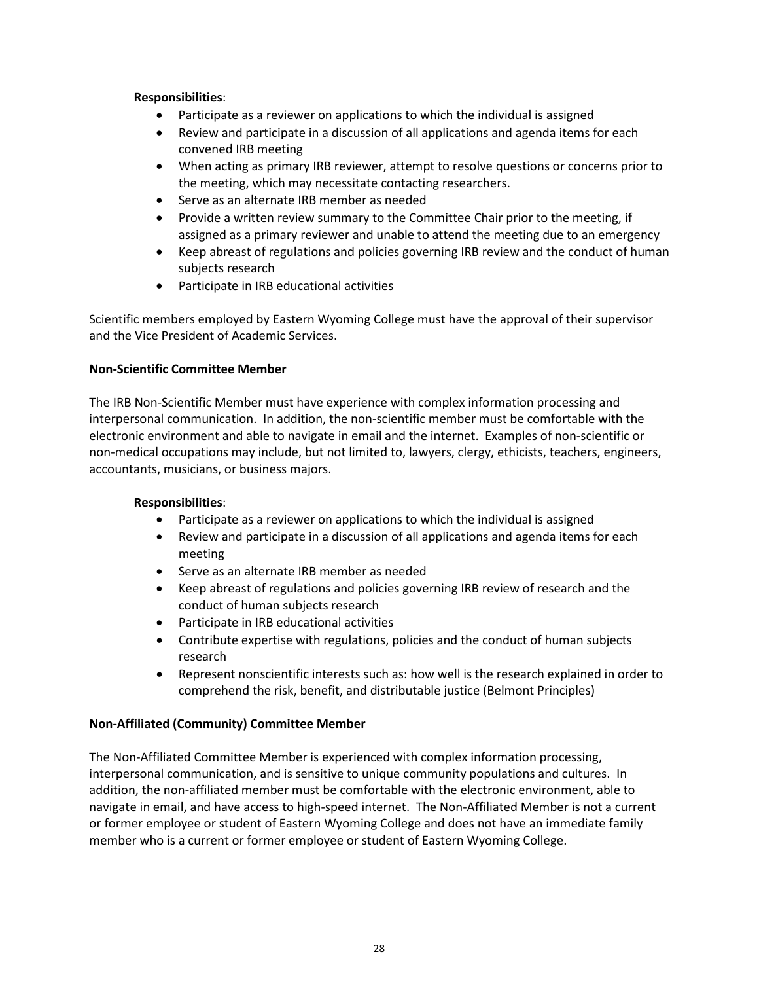### **Responsibilities**:

- Participate as a reviewer on applications to which the individual is assigned
- Review and participate in a discussion of all applications and agenda items for each convened IRB meeting
- When acting as primary IRB reviewer, attempt to resolve questions or concerns prior to the meeting, which may necessitate contacting researchers.
- Serve as an alternate IRB member as needed
- Provide a written review summary to the Committee Chair prior to the meeting, if assigned as a primary reviewer and unable to attend the meeting due to an emergency
- Keep abreast of regulations and policies governing IRB review and the conduct of human subjects research
- Participate in IRB educational activities

Scientific members employed by Eastern Wyoming College must have the approval of their supervisor and the Vice President of Academic Services.

### **Non-Scientific Committee Member**

The IRB Non-Scientific Member must have experience with complex information processing and interpersonal communication. In addition, the non-scientific member must be comfortable with the electronic environment and able to navigate in email and the internet. Examples of non-scientific or non-medical occupations may include, but not limited to, lawyers, clergy, ethicists, teachers, engineers, accountants, musicians, or business majors.

### **Responsibilities**:

- Participate as a reviewer on applications to which the individual is assigned
- Review and participate in a discussion of all applications and agenda items for each meeting
- Serve as an alternate IRB member as needed
- Keep abreast of regulations and policies governing IRB review of research and the conduct of human subjects research
- Participate in IRB educational activities
- Contribute expertise with regulations, policies and the conduct of human subjects research
- Represent nonscientific interests such as: how well is the research explained in order to comprehend the risk, benefit, and distributable justice (Belmont Principles)

### **Non-Affiliated (Community) Committee Member**

The Non-Affiliated Committee Member is experienced with complex information processing, interpersonal communication, and is sensitive to unique community populations and cultures. In addition, the non-affiliated member must be comfortable with the electronic environment, able to navigate in email, and have access to high-speed internet. The Non-Affiliated Member is not a current or former employee or student of Eastern Wyoming College and does not have an immediate family member who is a current or former employee or student of Eastern Wyoming College.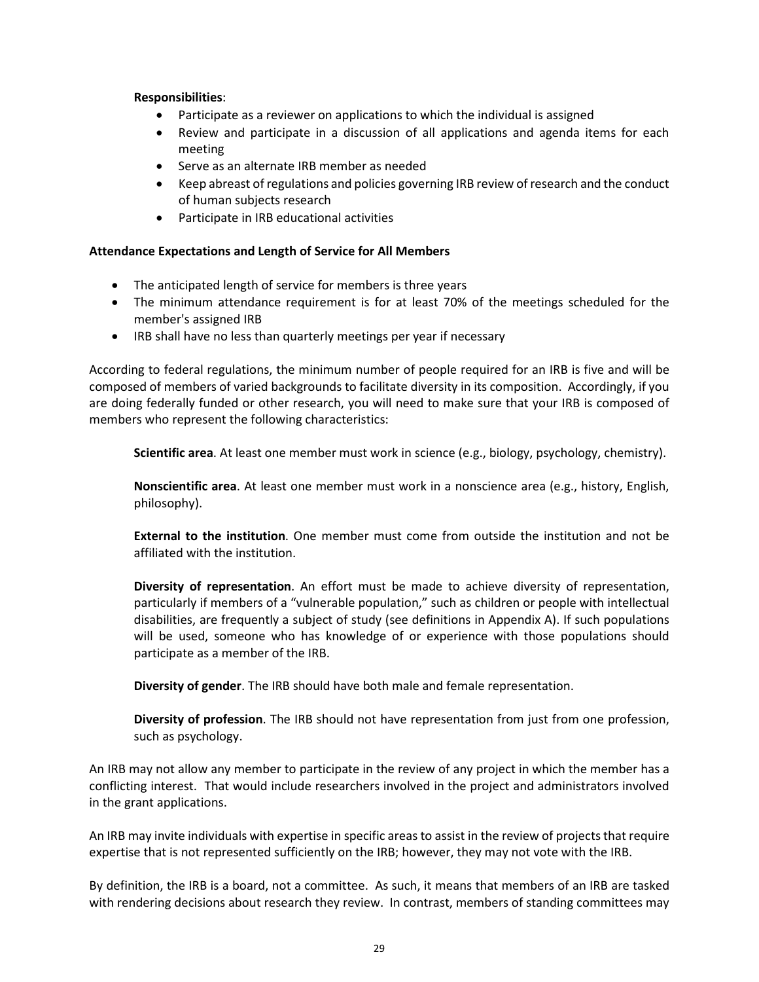### **Responsibilities**:

- Participate as a reviewer on applications to which the individual is assigned
- Review and participate in a discussion of all applications and agenda items for each meeting
- Serve as an alternate IRB member as needed
- Keep abreast of regulations and policies governing IRB review of research and the conduct of human subjects research
- Participate in IRB educational activities

#### **Attendance Expectations and Length of Service for All Members**

- The anticipated length of service for members is three years
- The minimum attendance requirement is for at least 70% of the meetings scheduled for the member's assigned IRB
- IRB shall have no less than quarterly meetings per year if necessary

According to federal regulations, the minimum number of people required for an IRB is five and will be composed of members of varied backgrounds to facilitate diversity in its composition. Accordingly, if you are doing federally funded or other research, you will need to make sure that your IRB is composed of members who represent the following characteristics:

**Scientific area**. At least one member must work in science (e.g., biology, psychology, chemistry).

**Nonscientific area**. At least one member must work in a nonscience area (e.g., history, English, philosophy).

**External to the institution**. One member must come from outside the institution and not be affiliated with the institution.

**Diversity of representation**. An effort must be made to achieve diversity of representation, particularly if members of a "vulnerable population," such as children or people with intellectual disabilities, are frequently a subject of study (see definitions in Appendix A). If such populations will be used, someone who has knowledge of or experience with those populations should participate as a member of the IRB.

**Diversity of gender**. The IRB should have both male and female representation.

**Diversity of profession**. The IRB should not have representation from just from one profession, such as psychology.

An IRB may not allow any member to participate in the review of any project in which the member has a conflicting interest. That would include researchers involved in the project and administrators involved in the grant applications.

An IRB may invite individuals with expertise in specific areas to assist in the review of projects that require expertise that is not represented sufficiently on the IRB; however, they may not vote with the IRB.

By definition, the IRB is a board, not a committee. As such, it means that members of an IRB are tasked with rendering decisions about research they review. In contrast, members of standing committees may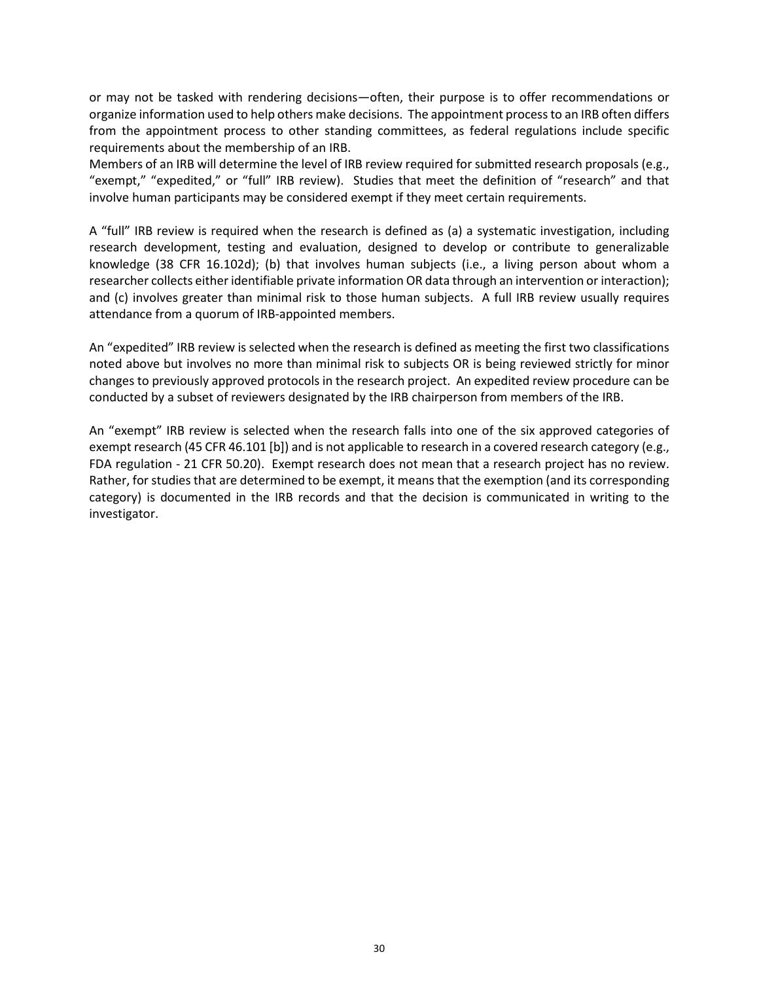or may not be tasked with rendering decisions—often, their purpose is to offer recommendations or organize information used to help others make decisions. The appointment process to an IRB often differs from the appointment process to other standing committees, as federal regulations include specific requirements about the membership of an IRB.

Members of an IRB will determine the level of IRB review required for submitted research proposals (e.g., "exempt," "expedited," or "full" IRB review). Studies that meet the definition of "research" and that involve human participants may be considered exempt if they meet certain requirements.

A "full" IRB review is required when the research is defined as (a) a systematic investigation, including research development, testing and evaluation, designed to develop or contribute to generalizable knowledge (38 CFR 16.102d); (b) that involves human subjects (i.e., a living person about whom a researcher collects either identifiable private information OR data through an intervention or interaction); and (c) involves greater than minimal risk to those human subjects. A full IRB review usually requires attendance from a quorum of IRB-appointed members.

An "expedited" IRB review is selected when the research is defined as meeting the first two classifications noted above but involves no more than minimal risk to subjects OR is being reviewed strictly for minor changes to previously approved protocols in the research project. An expedited review procedure can be conducted by a subset of reviewers designated by the IRB chairperson from members of the IRB.

An "exempt" IRB review is selected when the research falls into one of the six approved categories of exempt research (45 CFR 46.101 [b]) and is not applicable to research in a covered research category (e.g., FDA regulation - 21 CFR 50.20). Exempt research does not mean that a research project has no review. Rather, for studies that are determined to be exempt, it means that the exemption (and its corresponding category) is documented in the IRB records and that the decision is communicated in writing to the investigator.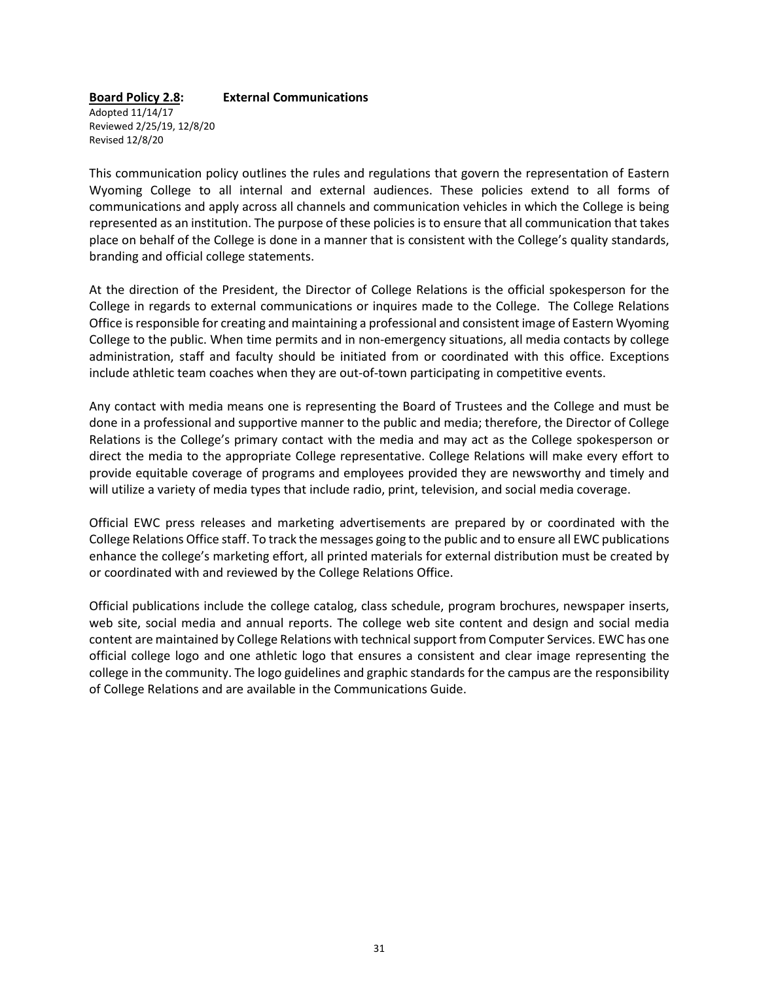#### **Board Policy 2.8: External Communications**

Adopted 11/14/17 Reviewed 2/25/19, 12/8/20 Revised 12/8/20

This communication policy outlines the rules and regulations that govern the representation of Eastern Wyoming College to all internal and external audiences. These policies extend to all forms of communications and apply across all channels and communication vehicles in which the College is being represented as an institution. The purpose of these policies is to ensure that all communication that takes place on behalf of the College is done in a manner that is consistent with the College's quality standards, branding and official college statements.

At the direction of the President, the Director of College Relations is the official spokesperson for the College in regards to external communications or inquires made to the College. The College Relations Office is responsible for creating and maintaining a professional and consistent image of Eastern Wyoming College to the public. When time permits and in non-emergency situations, all media contacts by college administration, staff and faculty should be initiated from or coordinated with this office. Exceptions include athletic team coaches when they are out-of-town participating in competitive events.

Any contact with media means one is representing the Board of Trustees and the College and must be done in a professional and supportive manner to the public and media; therefore, the Director of College Relations is the College's primary contact with the media and may act as the College spokesperson or direct the media to the appropriate College representative. College Relations will make every effort to provide equitable coverage of programs and employees provided they are newsworthy and timely and will utilize a variety of media types that include radio, print, television, and social media coverage.

Official EWC press releases and marketing advertisements are prepared by or coordinated with the College Relations Office staff. To track the messages going to the public and to ensure all EWC publications enhance the college's marketing effort, all printed materials for external distribution must be created by or coordinated with and reviewed by the College Relations Office.

Official publications include the college catalog, class schedule, program brochures, newspaper inserts, web site, social media and annual reports. The college web site content and design and social media content are maintained by College Relations with technical support from Computer Services. EWC has one official college logo and one athletic logo that ensures a consistent and clear image representing the college in the community. The logo guidelines and graphic standards for the campus are the responsibility of College Relations and are available in the Communications Guide.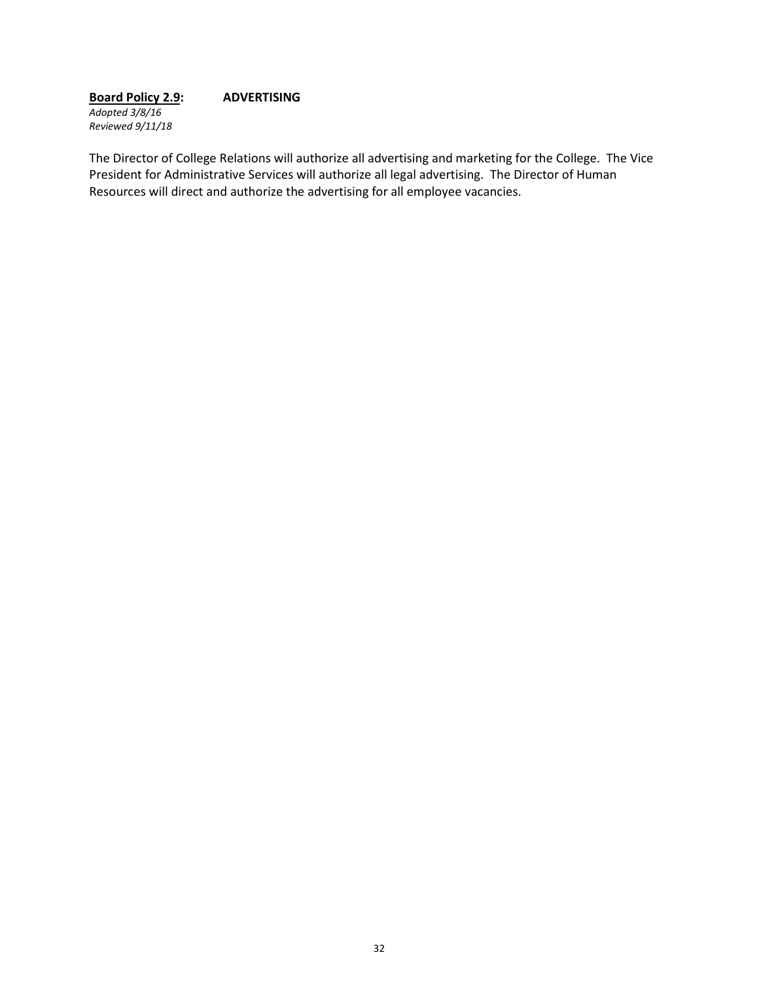**Board Policy 2.9: ADVERTISING** *Adopted 3/8/16 Reviewed 9/11/18*

The Director of College Relations will authorize all advertising and marketing for the College. The Vice President for Administrative Services will authorize all legal advertising. The Director of Human Resources will direct and authorize the advertising for all employee vacancies.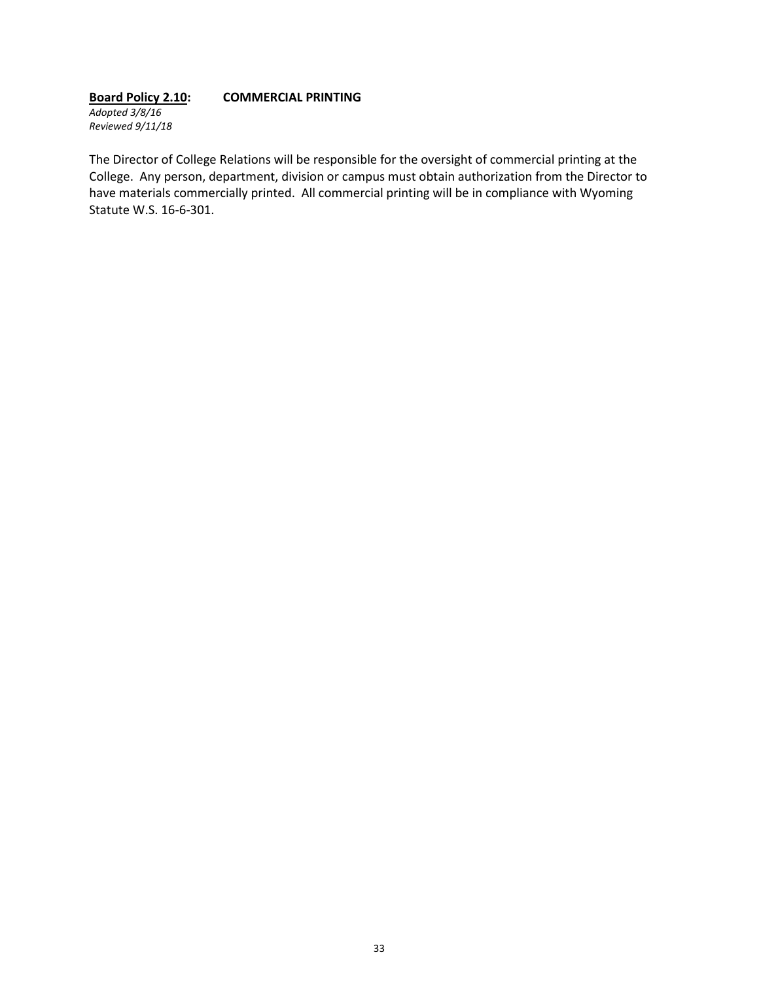#### **Board Policy 2.10: COMMERCIAL PRINTING** *Adopted 3/8/16 Reviewed 9/11/18*

The Director of College Relations will be responsible for the oversight of commercial printing at the College. Any person, department, division or campus must obtain authorization from the Director to have materials commercially printed. All commercial printing will be in compliance with Wyoming Statute W.S. 16-6-301.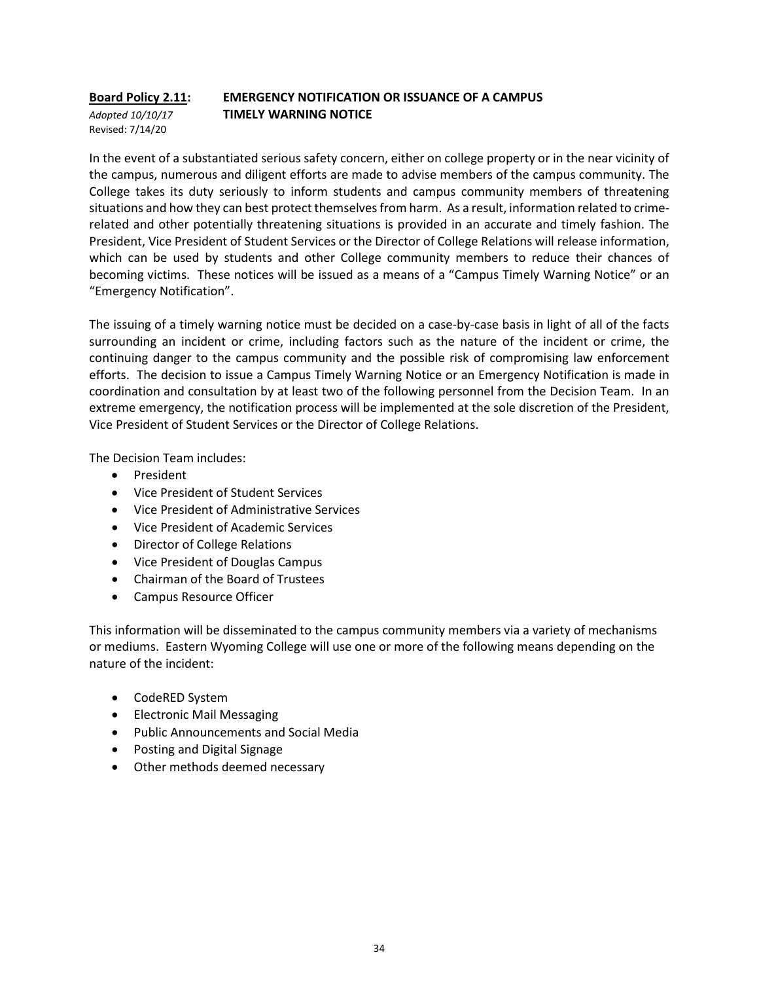# **Board Policy 2.11: EMERGENCY NOTIFICATION OR ISSUANCE OF A CAMPUS**  *Adopted 10/10/17* **TIMELY WARNING NOTICE**

Revised: 7/14/20

In the event of a substantiated serious safety concern, either on college property or in the near vicinity of the campus, numerous and diligent efforts are made to advise members of the campus community. The College takes its duty seriously to inform students and campus community members of threatening situations and how they can best protect themselves from harm. As a result, information related to crimerelated and other potentially threatening situations is provided in an accurate and timely fashion. The President, Vice President of Student Services or the Director of College Relations will release information, which can be used by students and other College community members to reduce their chances of becoming victims. These notices will be issued as a means of a "Campus Timely Warning Notice" or an "Emergency Notification".

The issuing of a timely warning notice must be decided on a case-by-case basis in light of all of the facts surrounding an incident or crime, including factors such as the nature of the incident or crime, the continuing danger to the campus community and the possible risk of compromising law enforcement efforts. The decision to issue a Campus Timely Warning Notice or an Emergency Notification is made in coordination and consultation by at least two of the following personnel from the Decision Team. In an extreme emergency, the notification process will be implemented at the sole discretion of the President, Vice President of Student Services or the Director of College Relations.

The Decision Team includes:

- President
- Vice President of Student Services
- Vice President of Administrative Services
- Vice President of Academic Services
- Director of College Relations
- Vice President of Douglas Campus
- Chairman of the Board of Trustees
- Campus Resource Officer

This information will be disseminated to the campus community members via a variety of mechanisms or mediums. Eastern Wyoming College will use one or more of the following means depending on the nature of the incident:

- CodeRED System
- Electronic Mail Messaging
- Public Announcements and Social Media
- Posting and Digital Signage
- Other methods deemed necessary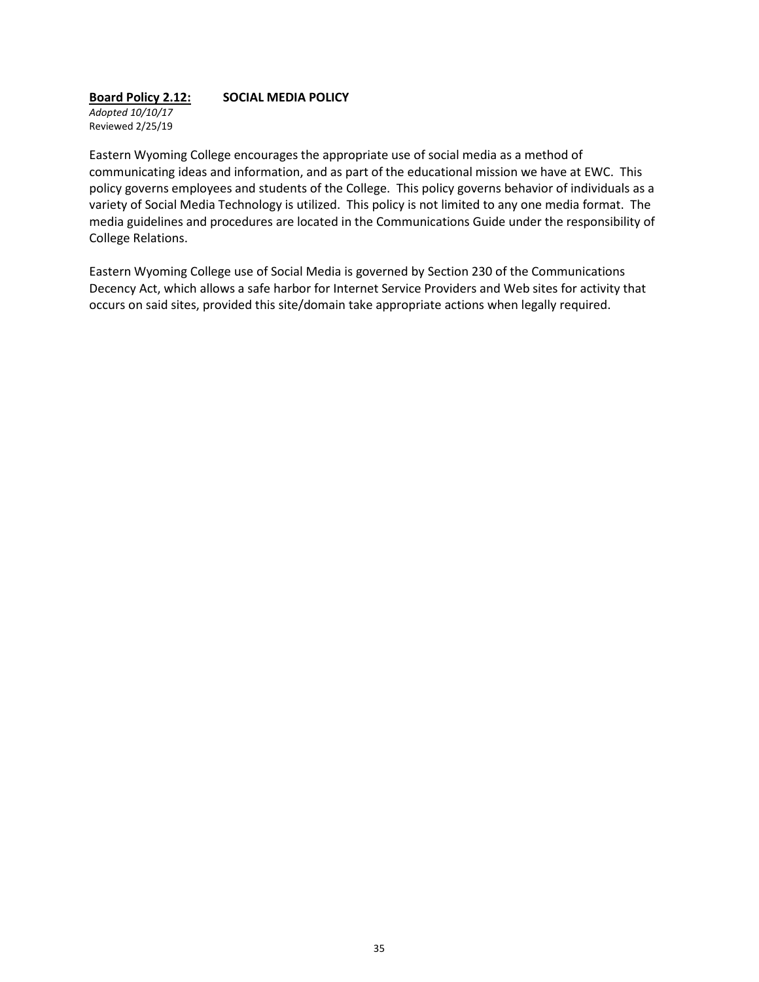## **Board Policy 2.12: SOCIAL MEDIA POLICY**

*Adopted 10/10/17* Reviewed 2/25/19

Eastern Wyoming College encourages the appropriate use of social media as a method of communicating ideas and information, and as part of the educational mission we have at EWC. This policy governs employees and students of the College. This policy governs behavior of individuals as a variety of Social Media Technology is utilized. This policy is not limited to any one media format. The media guidelines and procedures are located in the Communications Guide under the responsibility of College Relations.

Eastern Wyoming College use of Social Media is governed by Section 230 of the Communications Decency Act, which allows a safe harbor for Internet Service Providers and Web sites for activity that occurs on said sites, provided this site/domain take appropriate actions when legally required.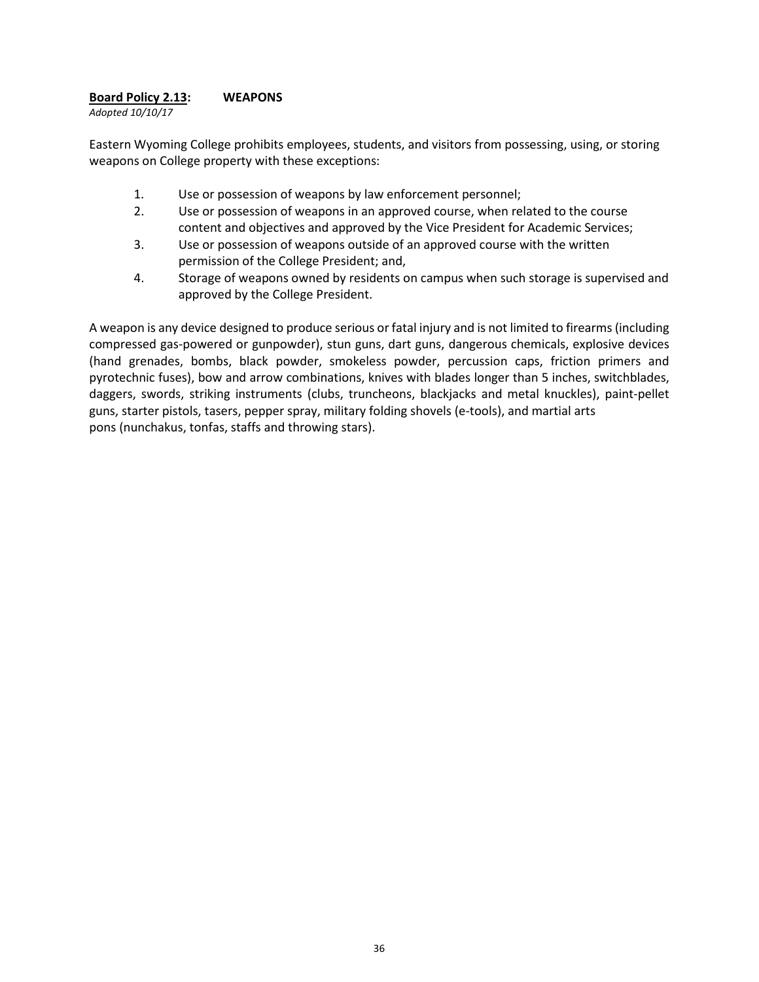### **Board Policy 2.13: WEAPONS**

*Adopted 10/10/17*

Eastern Wyoming College prohibits employees, students, and visitors from possessing, using, or storing weapons on College property with these exceptions:

- 1. Use or possession of weapons by law enforcement personnel;
- 2. Use or possession of weapons in an approved course, when related to the course content and objectives and approved by the Vice President for Academic Services;
- 3. Use or possession of weapons outside of an approved course with the written permission of the College President; and,
- 4. Storage of weapons owned by residents on campus when such storage is supervised and approved by the College President.

A weapon is any device designed to produce serious or fatal injury and is not limited to firearms (including compressed gas-powered or gunpowder), stun guns, dart guns, dangerous chemicals, explosive devices (hand grenades, bombs, black powder, smokeless powder, percussion caps, friction primers and pyrotechnic fuses), bow and arrow combinations, knives with blades longer than 5 inches, switchblades, daggers, swords, striking instruments (clubs, truncheons, blackjacks and metal knuckles), paint-pellet guns, starter pistols, tasers, pepper spray, military folding shovels (e-tools), and martial arts pons (nunchakus, tonfas, staffs and throwing stars).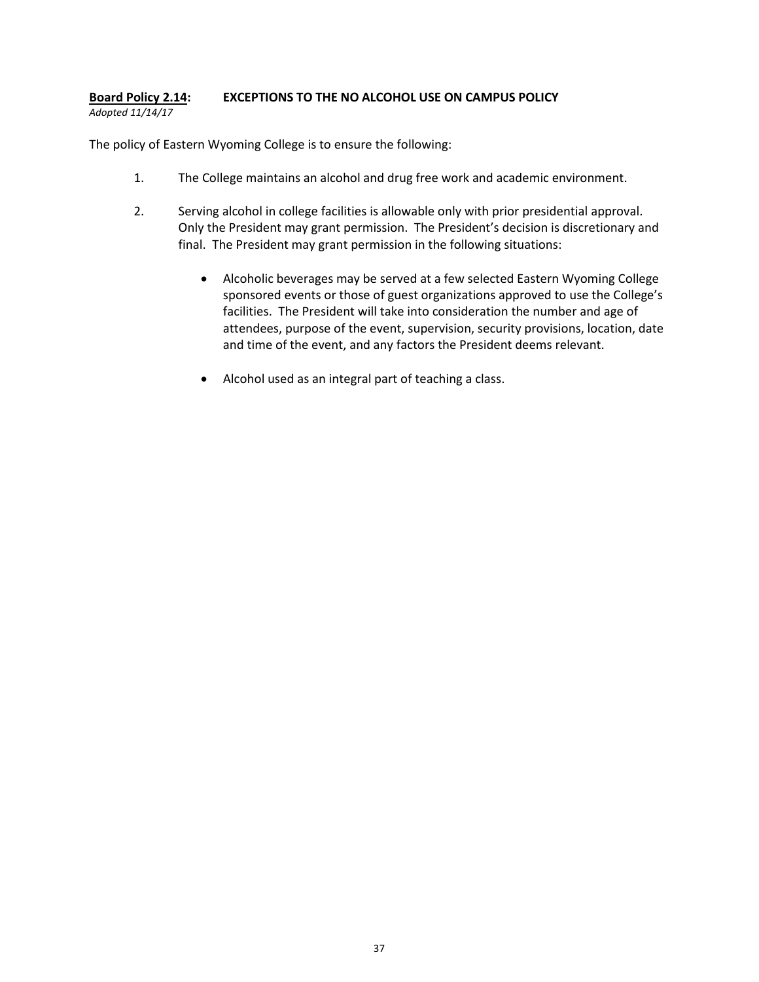#### **Board Policy 2.14: EXCEPTIONS TO THE NO ALCOHOL USE ON CAMPUS POLICY** *Adopted 11/14/17*

The policy of Eastern Wyoming College is to ensure the following:

- 1. The College maintains an alcohol and drug free work and academic environment.
- 2. Serving alcohol in college facilities is allowable only with prior presidential approval. Only the President may grant permission. The President's decision is discretionary and final. The President may grant permission in the following situations:
	- Alcoholic beverages may be served at a few selected Eastern Wyoming College sponsored events or those of guest organizations approved to use the College's facilities. The President will take into consideration the number and age of attendees, purpose of the event, supervision, security provisions, location, date and time of the event, and any factors the President deems relevant.
	- Alcohol used as an integral part of teaching a class.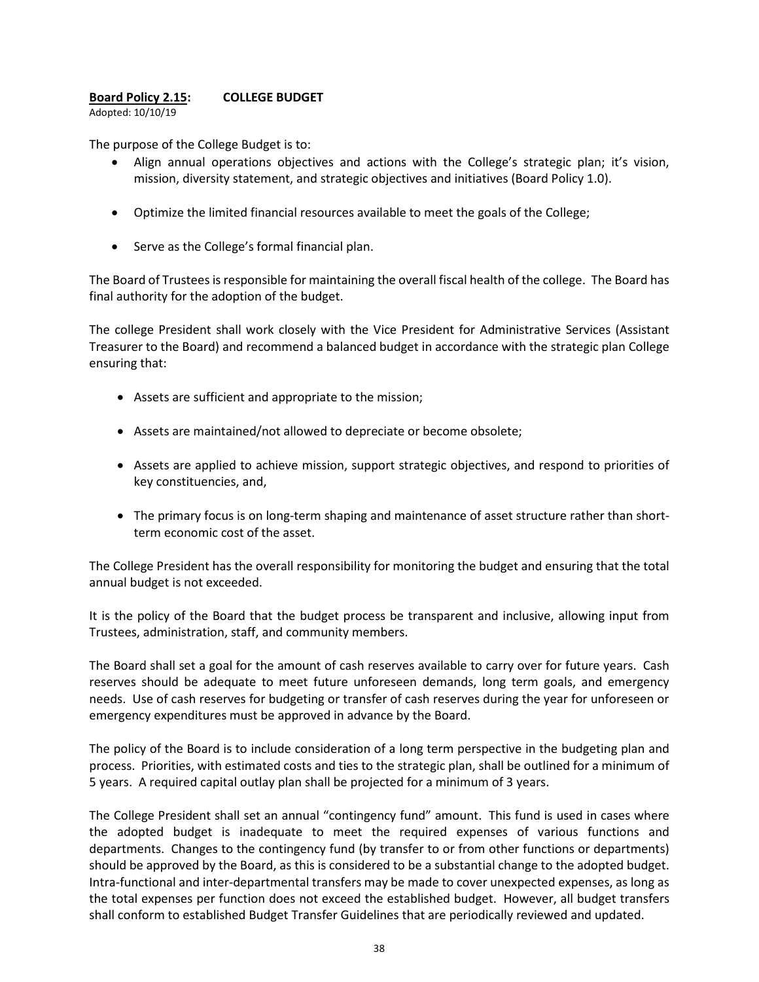### **Board Policy 2.15: COLLEGE BUDGET**

Adopted: 10/10/19

The purpose of the College Budget is to:

- Align annual operations objectives and actions with the College's strategic plan; it's vision, mission, diversity statement, and strategic objectives and initiatives (Board Policy 1.0).
- Optimize the limited financial resources available to meet the goals of the College;
- Serve as the College's formal financial plan.

The Board of Trustees is responsible for maintaining the overall fiscal health of the college. The Board has final authority for the adoption of the budget.

The college President shall work closely with the Vice President for Administrative Services (Assistant Treasurer to the Board) and recommend a balanced budget in accordance with the strategic plan College ensuring that:

- Assets are sufficient and appropriate to the mission;
- Assets are maintained/not allowed to depreciate or become obsolete;
- Assets are applied to achieve mission, support strategic objectives, and respond to priorities of key constituencies, and,
- The primary focus is on long-term shaping and maintenance of asset structure rather than shortterm economic cost of the asset.

The College President has the overall responsibility for monitoring the budget and ensuring that the total annual budget is not exceeded.

It is the policy of the Board that the budget process be transparent and inclusive, allowing input from Trustees, administration, staff, and community members.

The Board shall set a goal for the amount of cash reserves available to carry over for future years. Cash reserves should be adequate to meet future unforeseen demands, long term goals, and emergency needs. Use of cash reserves for budgeting or transfer of cash reserves during the year for unforeseen or emergency expenditures must be approved in advance by the Board.

The policy of the Board is to include consideration of a long term perspective in the budgeting plan and process. Priorities, with estimated costs and ties to the strategic plan, shall be outlined for a minimum of 5 years. A required capital outlay plan shall be projected for a minimum of 3 years.

The College President shall set an annual "contingency fund" amount. This fund is used in cases where the adopted budget is inadequate to meet the required expenses of various functions and departments. Changes to the contingency fund (by transfer to or from other functions or departments) should be approved by the Board, as this is considered to be a substantial change to the adopted budget. Intra-functional and inter-departmental transfers may be made to cover unexpected expenses, as long as the total expenses per function does not exceed the established budget. However, all budget transfers shall conform to established Budget Transfer Guidelines that are periodically reviewed and updated.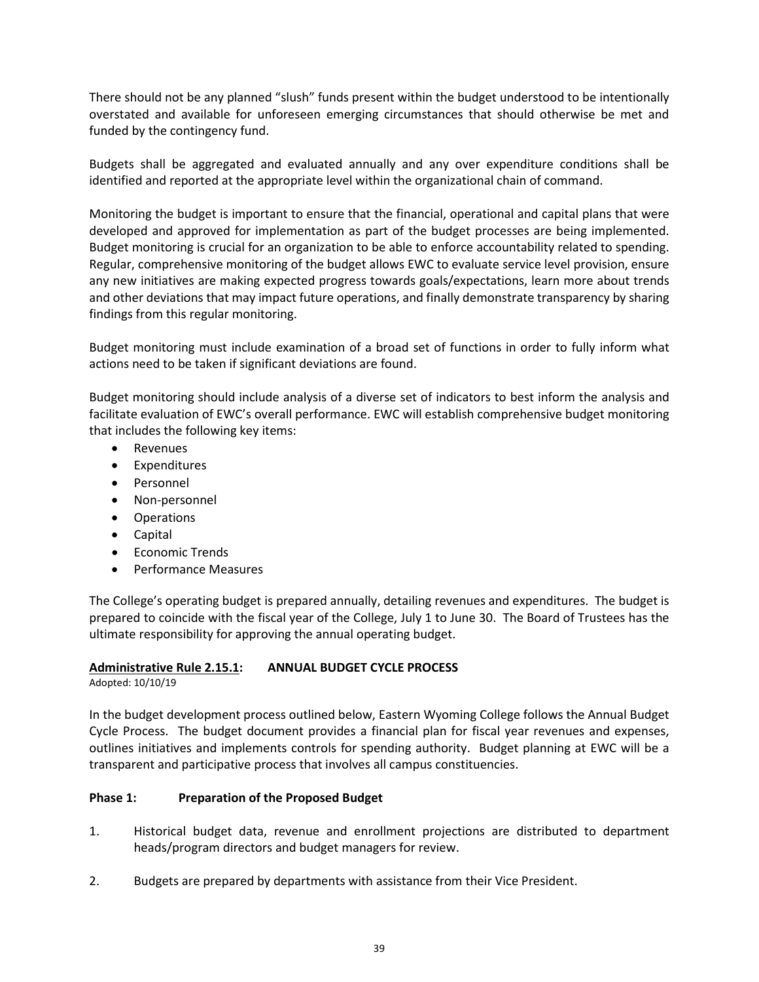There should not be any planned "slush" funds present within the budget understood to be intentionally overstated and available for unforeseen emerging circumstances that should otherwise be met and funded by the contingency fund.

Budgets shall be aggregated and evaluated annually and any over expenditure conditions shall be identified and reported at the appropriate level within the organizational chain of command.

Monitoring the budget is important to ensure that the financial, operational and capital plans that were developed and approved for implementation as part of the budget processes are being implemented. Budget monitoring is crucial for an organization to be able to enforce accountability related to spending. Regular, comprehensive monitoring of the budget allows EWC to evaluate service level provision, ensure any new initiatives are making expected progress towards goals/expectations, learn more about trends and other deviations that may impact future operations, and finally demonstrate transparency by sharing findings from this regular monitoring.

Budget monitoring must include examination of a broad set of functions in order to fully inform what actions need to be taken if significant deviations are found.

Budget monitoring should include analysis of a diverse set of indicators to best inform the analysis and facilitate evaluation of EWC's overall performance. EWC will establish comprehensive budget monitoring that includes the following key items:

- **Revenues**
- Expenditures
- Personnel
- Non-personnel
- Operations
- Capital
- Economic Trends
- Performance Measures

The College's operating budget is prepared annually, detailing revenues and expenditures. The budget is prepared to coincide with the fiscal year of the College, July 1 to June 30. The Board of Trustees has the ultimate responsibility for approving the annual operating budget.

### **Administrative Rule 2.15.1: ANNUAL BUDGET CYCLE PROCESS**

Adopted: 10/10/19

In the budget development process outlined below, Eastern Wyoming College follows the Annual Budget Cycle Process. The budget document provides a financial plan for fiscal year revenues and expenses, outlines initiatives and implements controls for spending authority. Budget planning at EWC will be a transparent and participative process that involves all campus constituencies.

### **Phase 1: Preparation of the Proposed Budget**

- 1. Historical budget data, revenue and enrollment projections are distributed to department heads/program directors and budget managers for review.
- 2. Budgets are prepared by departments with assistance from their Vice President.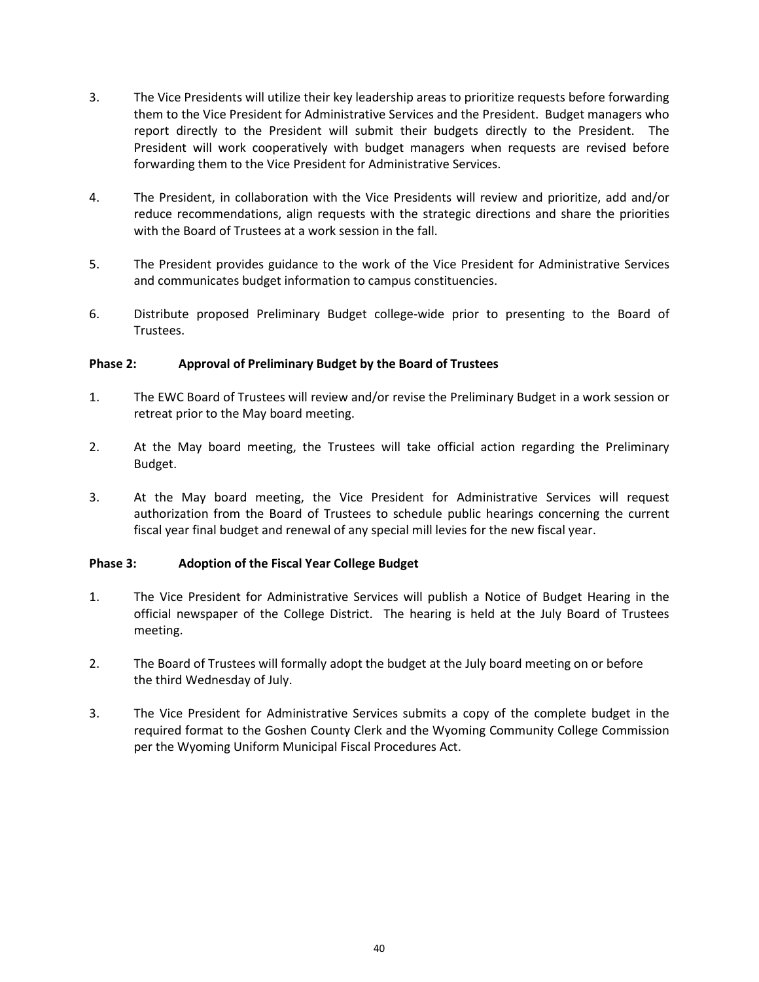- 3. The Vice Presidents will utilize their key leadership areas to prioritize requests before forwarding them to the Vice President for Administrative Services and the President. Budget managers who report directly to the President will submit their budgets directly to the President. The President will work cooperatively with budget managers when requests are revised before forwarding them to the Vice President for Administrative Services.
- 4. The President, in collaboration with the Vice Presidents will review and prioritize, add and/or reduce recommendations, align requests with the strategic directions and share the priorities with the Board of Trustees at a work session in the fall.
- 5. The President provides guidance to the work of the Vice President for Administrative Services and communicates budget information to campus constituencies.
- 6. Distribute proposed Preliminary Budget college-wide prior to presenting to the Board of Trustees.

### **Phase 2: Approval of Preliminary Budget by the Board of Trustees**

- 1. The EWC Board of Trustees will review and/or revise the Preliminary Budget in a work session or retreat prior to the May board meeting.
- 2. At the May board meeting, the Trustees will take official action regarding the Preliminary Budget.
- 3. At the May board meeting, the Vice President for Administrative Services will request authorization from the Board of Trustees to schedule public hearings concerning the current fiscal year final budget and renewal of any special mill levies for the new fiscal year.

### **Phase 3: Adoption of the Fiscal Year College Budget**

- 1. The Vice President for Administrative Services will publish a Notice of Budget Hearing in the official newspaper of the College District. The hearing is held at the July Board of Trustees meeting.
- 2. The Board of Trustees will formally adopt the budget at the July board meeting on or before the third Wednesday of July.
- 3. The Vice President for Administrative Services submits a copy of the complete budget in the required format to the Goshen County Clerk and the Wyoming Community College Commission per the Wyoming Uniform Municipal Fiscal Procedures Act.